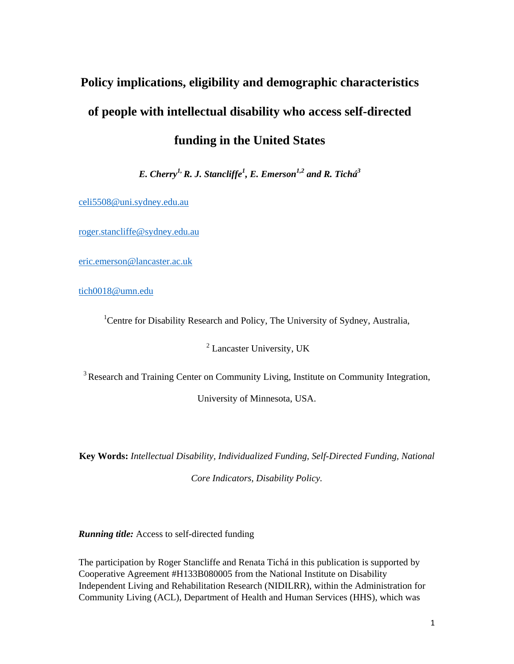# **Policy implications, eligibility and demographic characteristics of people with intellectual disability who access self-directed funding in the United States**

*E. Cherry1, R. J. Stancliffe1 , E. Emerson1,2 and R. Tichá3* 

celi5508@uni.sydney.edu.au

roger.stancliffe@sydney.edu.au

eric.emerson@lancaster.ac.uk

tich0018@umn.edu

<sup>1</sup>Centre for Disability Research and Policy, The University of Sydney, Australia,

 $2$  Lancaster University, UK

3 Research and Training Center on Community Living, Institute on Community Integration,

University of Minnesota, USA.

**Key Words:** *Intellectual Disability, Individualized Funding, Self-Directed Funding, National Core Indicators, Disability Policy.* 

*Running title:* Access to self-directed funding

The participation by Roger Stancliffe and Renata Tichá in this publication is supported by Cooperative Agreement #H133B080005 from the National Institute on Disability Independent Living and Rehabilitation Research (NIDILRR), within the Administration for Community Living (ACL), Department of Health and Human Services (HHS), which was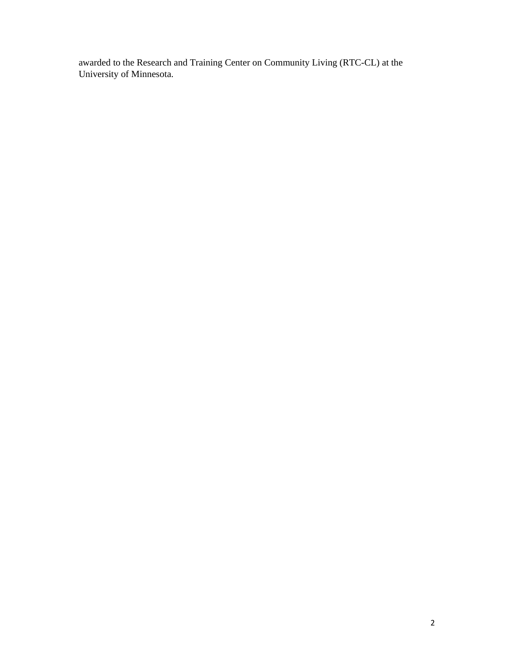awarded to the Research and Training Center on Community Living (RTC-CL) at the University of Minnesota.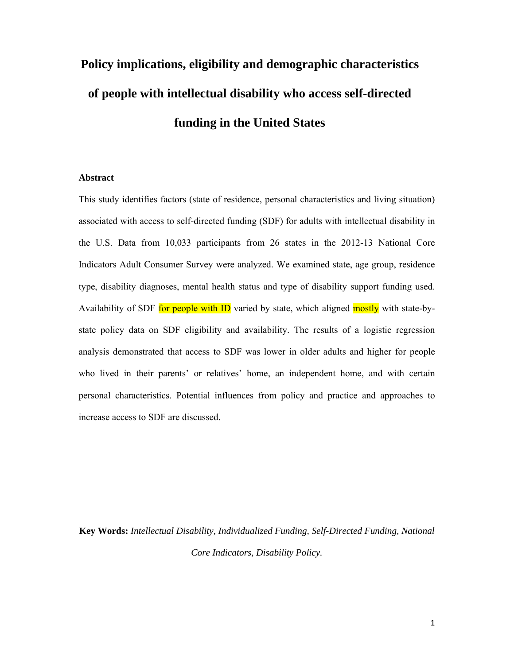# **Policy implications, eligibility and demographic characteristics of people with intellectual disability who access self-directed funding in the United States**

### **Abstract**

This study identifies factors (state of residence, personal characteristics and living situation) associated with access to self-directed funding (SDF) for adults with intellectual disability in the U.S. Data from 10,033 participants from 26 states in the 2012-13 National Core Indicators Adult Consumer Survey were analyzed. We examined state, age group, residence type, disability diagnoses, mental health status and type of disability support funding used. Availability of SDF for people with ID varied by state, which aligned mostly with state-bystate policy data on SDF eligibility and availability. The results of a logistic regression analysis demonstrated that access to SDF was lower in older adults and higher for people who lived in their parents' or relatives' home, an independent home, and with certain personal characteristics. Potential influences from policy and practice and approaches to increase access to SDF are discussed.

**Key Words:** *Intellectual Disability, Individualized Funding, Self-Directed Funding, National Core Indicators, Disability Policy.*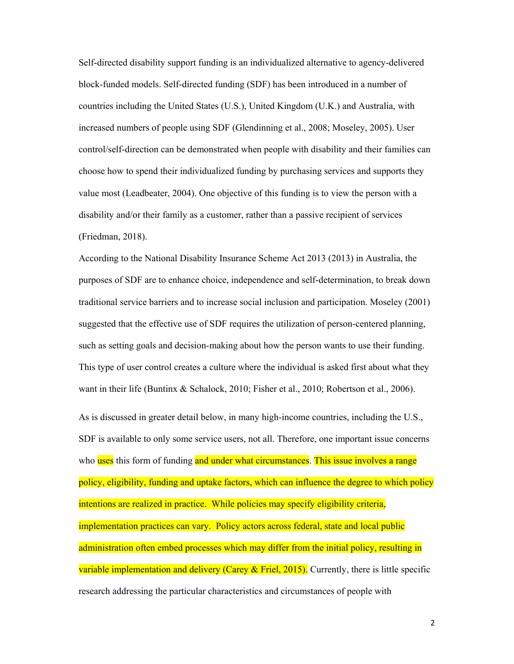Self-directed disability support funding is an individualized alternative to agency-delivered block-funded models. Self-directed funding (SDF) has been introduced in a number of countries including the United States (U.S.), United Kingdom (U.K.) and Australia, with increased numbers of people using SDF (Glendinning et al., 2008; Moseley, 2005). User control/self-direction can be demonstrated when people with disability and their families can choose how to spend their individualized funding by purchasing services and supports they value most (Leadbeater, 2004). One objective of this funding is to view the person with a disability and/or their family as a customer, rather than a passive recipient of services (Friedman, 2018).

According to the National Disability Insurance Scheme Act 2013 (2013) in Australia, the purposes of SDF are to enhance choice, independence and self-determination, to break down traditional service barriers and to increase social inclusion and participation. Moseley (2001) suggested that the effective use of SDF requires the utilization of person-centered planning, such as setting goals and decision-making about how the person wants to use their funding. This type of user control creates a culture where the individual is asked first about what they want in their life (Buntinx & Schalock, 2010; Fisher et al., 2010; Robertson et al., 2006). As is discussed in greater detail below, in many high-income countries, including the U.S., SDF is available to only some service users, not all. Therefore, one important issue concerns who uses this form of funding and under what circumstances. This issue involves a range policy, eligibility, funding and uptake factors, which can influence the degree to which policy intentions are realized in practice. While policies may specify eligibility criteria, implementation practices can vary. Policy actors across federal, state and local public

administration often embed processes which may differ from the initial policy, resulting in variable implementation and delivery (Carey & Friel, 2015). Currently, there is little specific research addressing the particular characteristics and circumstances of people with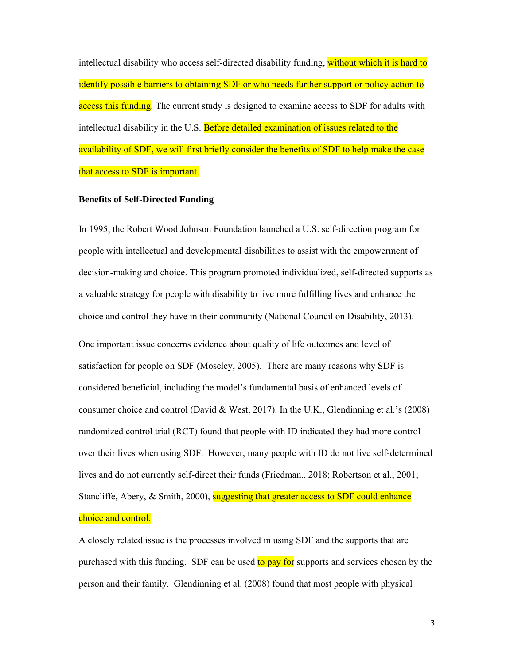intellectual disability who access self-directed disability funding, without which it is hard to identify possible barriers to obtaining SDF or who needs further support or policy action to access this funding. The current study is designed to examine access to SDF for adults with intellectual disability in the U.S. Before detailed examination of issues related to the availability of SDF, we will first briefly consider the benefits of SDF to help make the case that access to SDF is important.

#### **Benefits of Self-Directed Funding**

In 1995, the Robert Wood Johnson Foundation launched a U.S. self-direction program for people with intellectual and developmental disabilities to assist with the empowerment of decision-making and choice. This program promoted individualized, self-directed supports as a valuable strategy for people with disability to live more fulfilling lives and enhance the choice and control they have in their community (National Council on Disability, 2013). One important issue concerns evidence about quality of life outcomes and level of satisfaction for people on SDF (Moseley, 2005). There are many reasons why SDF is considered beneficial, including the model's fundamental basis of enhanced levels of consumer choice and control (David & West, 2017). In the U.K., Glendinning et al.'s (2008) randomized control trial (RCT) found that people with ID indicated they had more control over their lives when using SDF. However, many people with ID do not live self-determined lives and do not currently self-direct their funds (Friedman., 2018; Robertson et al., 2001; Stancliffe, Abery, & Smith, 2000), suggesting that greater access to SDF could enhance choice and control.

A closely related issue is the processes involved in using SDF and the supports that are purchased with this funding. SDF can be used to pay for supports and services chosen by the person and their family. Glendinning et al. (2008) found that most people with physical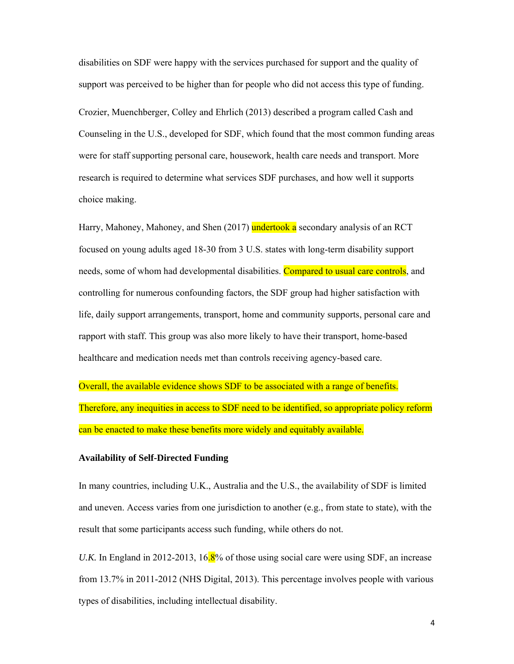disabilities on SDF were happy with the services purchased for support and the quality of support was perceived to be higher than for people who did not access this type of funding.

Crozier, Muenchberger, Colley and Ehrlich (2013) described a program called Cash and Counseling in the U.S., developed for SDF, which found that the most common funding areas were for staff supporting personal care, housework, health care needs and transport. More research is required to determine what services SDF purchases, and how well it supports choice making.

Harry, Mahoney, Mahoney, and Shen (2017) undertook a secondary analysis of an RCT focused on young adults aged 18-30 from 3 U.S. states with long-term disability support needs, some of whom had developmental disabilities. Compared to usual care controls, and controlling for numerous confounding factors, the SDF group had higher satisfaction with life, daily support arrangements, transport, home and community supports, personal care and rapport with staff. This group was also more likely to have their transport, home-based healthcare and medication needs met than controls receiving agency-based care.

Overall, the available evidence shows SDF to be associated with a range of benefits. Therefore, any inequities in access to SDF need to be identified, so appropriate policy reform can be enacted to make these benefits more widely and equitably available.

### **Availability of Self-Directed Funding**

In many countries, including U.K., Australia and the U.S., the availability of SDF is limited and uneven. Access varies from one jurisdiction to another (e.g., from state to state), with the result that some participants access such funding, while others do not.

*U.K.* In England in 2012-2013, 16.8% of those using social care were using SDF, an increase from 13.7% in 2011-2012 (NHS Digital, 2013). This percentage involves people with various types of disabilities, including intellectual disability.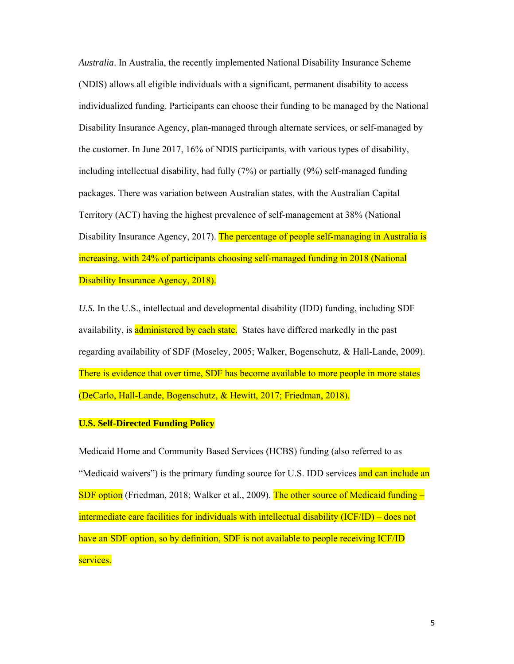*Australia*. In Australia, the recently implemented National Disability Insurance Scheme (NDIS) allows all eligible individuals with a significant, permanent disability to access individualized funding. Participants can choose their funding to be managed by the National Disability Insurance Agency, plan-managed through alternate services, or self-managed by the customer. In June 2017, 16% of NDIS participants, with various types of disability, including intellectual disability, had fully (7%) or partially (9%) self-managed funding packages. There was variation between Australian states, with the Australian Capital Territory (ACT) having the highest prevalence of self-management at 38% (National Disability Insurance Agency, 2017). The percentage of people self-managing in Australia is increasing, with 24% of participants choosing self-managed funding in 2018 (National Disability Insurance Agency, 2018).

*U.S.* In the U.S., intellectual and developmental disability (IDD) funding, including SDF availability, is administered by each state. States have differed markedly in the past regarding availability of SDF (Moseley, 2005; Walker, Bogenschutz, & Hall-Lande, 2009). There is evidence that over time, SDF has become available to more people in more states (DeCarlo, Hall-Lande, Bogenschutz, & Hewitt, 2017; Friedman, 2018).

# **U.S. Self-Directed Funding Policy**

Medicaid Home and Community Based Services (HCBS) funding (also referred to as "Medicaid waivers") is the primary funding source for U.S. IDD services and can include an SDF option (Friedman, 2018; Walker et al., 2009). The other source of Medicaid funding – intermediate care facilities for individuals with intellectual disability (ICF/ID) – does not have an SDF option, so by definition, SDF is not available to people receiving ICF/ID services.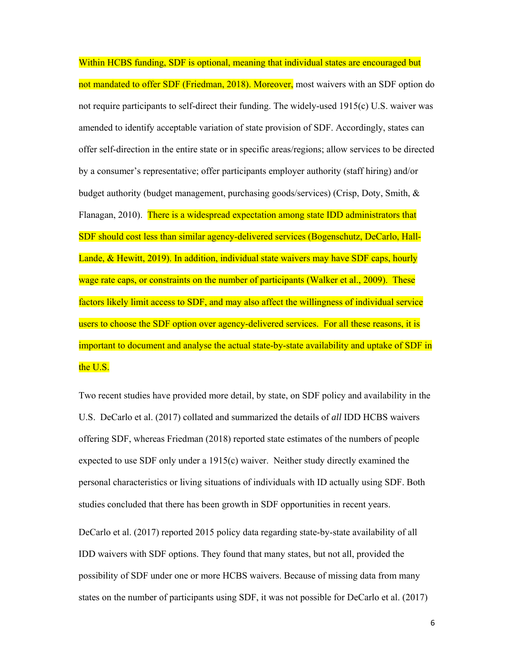Within HCBS funding, SDF is optional, meaning that individual states are encouraged but not mandated to offer SDF (Friedman, 2018). Moreover, most waivers with an SDF option do not require participants to self-direct their funding. The widely-used 1915(c) U.S. waiver was amended to identify acceptable variation of state provision of SDF. Accordingly, states can offer self-direction in the entire state or in specific areas/regions; allow services to be directed by a consumer's representative; offer participants employer authority (staff hiring) and/or budget authority (budget management, purchasing goods/services) (Crisp, Doty, Smith, & Flanagan, 2010). There is a widespread expectation among state IDD administrators that SDF should cost less than similar agency-delivered services (Bogenschutz, DeCarlo, Hall-Lande, & Hewitt, 2019). In addition, individual state waivers may have SDF caps, hourly wage rate caps, or constraints on the number of participants (Walker et al., 2009). These factors likely limit access to SDF, and may also affect the willingness of individual service users to choose the SDF option over agency-delivered services. For all these reasons, it is important to document and analyse the actual state-by-state availability and uptake of SDF in the U.S.

Two recent studies have provided more detail, by state, on SDF policy and availability in the U.S. DeCarlo et al. (2017) collated and summarized the details of *all* IDD HCBS waivers offering SDF, whereas Friedman (2018) reported state estimates of the numbers of people expected to use SDF only under a 1915(c) waiver. Neither study directly examined the personal characteristics or living situations of individuals with ID actually using SDF. Both studies concluded that there has been growth in SDF opportunities in recent years.

DeCarlo et al. (2017) reported 2015 policy data regarding state-by-state availability of all IDD waivers with SDF options. They found that many states, but not all, provided the possibility of SDF under one or more HCBS waivers. Because of missing data from many states on the number of participants using SDF, it was not possible for DeCarlo et al. (2017)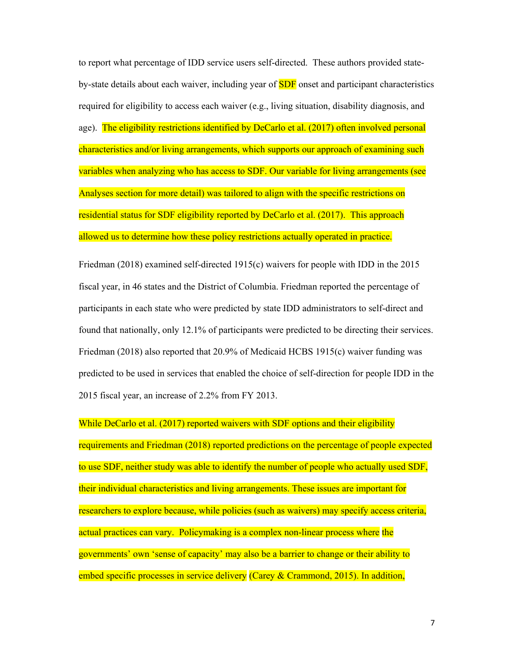to report what percentage of IDD service users self-directed. These authors provided stateby-state details about each waiver, including year of **SDF** onset and participant characteristics required for eligibility to access each waiver (e.g., living situation, disability diagnosis, and age). The eligibility restrictions identified by DeCarlo et al. (2017) often involved personal characteristics and/or living arrangements, which supports our approach of examining such variables when analyzing who has access to SDF. Our variable for living arrangements (see Analyses section for more detail) was tailored to align with the specific restrictions on residential status for SDF eligibility reported by DeCarlo et al. (2017). This approach allowed us to determine how these policy restrictions actually operated in practice.

Friedman (2018) examined self-directed 1915(c) waivers for people with IDD in the 2015 fiscal year, in 46 states and the District of Columbia. Friedman reported the percentage of participants in each state who were predicted by state IDD administrators to self-direct and found that nationally, only 12.1% of participants were predicted to be directing their services. Friedman (2018) also reported that 20.9% of Medicaid HCBS 1915(c) waiver funding was predicted to be used in services that enabled the choice of self-direction for people IDD in the 2015 fiscal year, an increase of 2.2% from FY 2013.

While DeCarlo et al. (2017) reported waivers with SDF options and their eligibility requirements and Friedman (2018) reported predictions on the percentage of people expected to use SDF, neither study was able to identify the number of people who actually used SDF, their individual characteristics and living arrangements. These issues are important for researchers to explore because, while policies (such as waivers) may specify access criteria, actual practices can vary. Policymaking is a complex non-linear process where the governments' own 'sense of capacity' may also be a barrier to change or their ability to embed specific processes in service delivery (Carey & Crammond, 2015). In addition,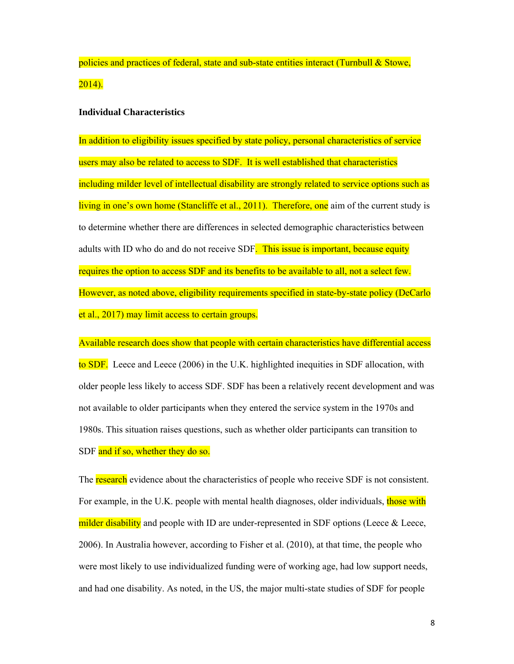policies and practices of federal, state and sub-state entities interact (Turnbull & Stowe, 2014).

# **Individual Characteristics**

In addition to eligibility issues specified by state policy, personal characteristics of service users may also be related to access to SDF. It is well established that characteristics including milder level of intellectual disability are strongly related to service options such as living in one's own home (Stancliffe et al., 2011). Therefore, one aim of the current study is to determine whether there are differences in selected demographic characteristics between adults with ID who do and do not receive SDF. This issue is important, because equity requires the option to access SDF and its benefits to be available to all, not a select few. However, as noted above, eligibility requirements specified in state-by-state policy (DeCarlo et al., 2017) may limit access to certain groups.

Available research does show that people with certain characteristics have differential access to SDF. Leece and Leece (2006) in the U.K. highlighted inequities in SDF allocation, with older people less likely to access SDF. SDF has been a relatively recent development and was not available to older participants when they entered the service system in the 1970s and 1980s. This situation raises questions, such as whether older participants can transition to SDF and if so, whether they do so.

The research evidence about the characteristics of people who receive SDF is not consistent. For example, in the U.K. people with mental health diagnoses, older individuals, those with milder disability and people with ID are under-represented in SDF options (Leece  $\&$  Leece, 2006). In Australia however, according to Fisher et al. (2010), at that time, the people who were most likely to use individualized funding were of working age, had low support needs, and had one disability. As noted, in the US, the major multi-state studies of SDF for people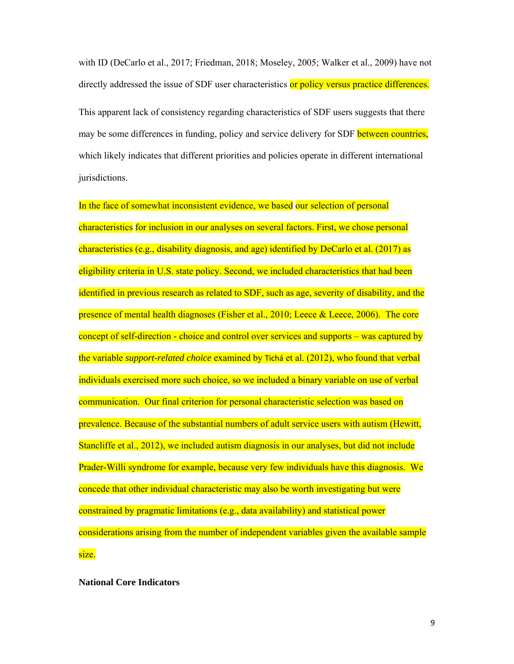with ID (DeCarlo et al., 2017; Friedman, 2018; Moseley, 2005; Walker et al., 2009) have not directly addressed the issue of SDF user characteristics or policy versus practice differences.

This apparent lack of consistency regarding characteristics of SDF users suggests that there may be some differences in funding, policy and service delivery for SDF between countries, which likely indicates that different priorities and policies operate in different international jurisdictions.

In the face of somewhat inconsistent evidence, we based our selection of personal characteristics for inclusion in our analyses on several factors. First, we chose personal characteristics (e.g., disability diagnosis, and age) identified by DeCarlo et al. (2017) as eligibility criteria in U.S. state policy. Second, we included characteristics that had been identified in previous research as related to SDF, such as age, severity of disability, and the presence of mental health diagnoses (Fisher et al.,  $2010$ ; Leece  $\&$  Leece,  $2006$ ). The core concept of self-direction - choice and control over services and supports – was captured by the variable *support-related choice* examined by Tichá et al. (2012), who found that verbal individuals exercised more such choice, so we included a binary variable on use of verbal communication. Our final criterion for personal characteristic selection was based on prevalence. Because of the substantial numbers of adult service users with autism (Hewitt, Stancliffe et al., 2012), we included autism diagnosis in our analyses, but did not include Prader-Willi syndrome for example, because very few individuals have this diagnosis. We concede that other individual characteristic may also be worth investigating but were constrained by pragmatic limitations (e.g., data availability) and statistical power considerations arising from the number of independent variables given the available sample size.

**National Core Indicators**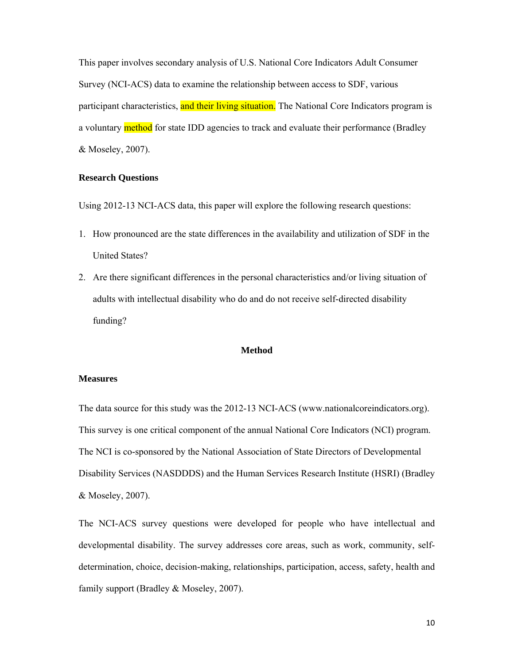This paper involves secondary analysis of U.S. National Core Indicators Adult Consumer Survey (NCI-ACS) data to examine the relationship between access to SDF, various participant characteristics, and their living situation. The National Core Indicators program is a voluntary **method** for state IDD agencies to track and evaluate their performance (Bradley & Moseley, 2007).

#### **Research Questions**

Using 2012-13 NCI-ACS data, this paper will explore the following research questions:

- 1. How pronounced are the state differences in the availability and utilization of SDF in the United States?
- 2. Are there significant differences in the personal characteristics and/or living situation of adults with intellectual disability who do and do not receive self-directed disability funding?

#### **Method**

#### **Measures**

The data source for this study was the 2012-13 NCI-ACS (www.nationalcoreindicators.org). This survey is one critical component of the annual National Core Indicators (NCI) program. The NCI is co-sponsored by the National Association of State Directors of Developmental Disability Services (NASDDDS) and the Human Services Research Institute (HSRI) (Bradley & Moseley, 2007).

The NCI-ACS survey questions were developed for people who have intellectual and developmental disability. The survey addresses core areas, such as work, community, selfdetermination, choice, decision-making, relationships, participation, access, safety, health and family support (Bradley & Moseley, 2007).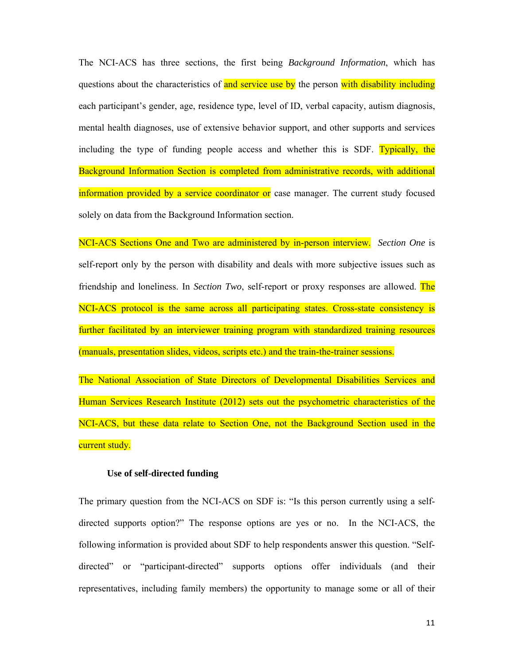The NCI-ACS has three sections, the first being *Background Information*, which has questions about the characteristics of and service use by the person with disability including each participant's gender, age, residence type, level of ID, verbal capacity, autism diagnosis, mental health diagnoses, use of extensive behavior support, and other supports and services including the type of funding people access and whether this is SDF. Typically, the Background Information Section is completed from administrative records, with additional information provided by a service coordinator or case manager. The current study focused solely on data from the Background Information section.

NCI-ACS Sections One and Two are administered by in-person interview. *Section One* is self-report only by the person with disability and deals with more subjective issues such as friendship and loneliness. In *Section Two*, self-report or proxy responses are allowed. The NCI-ACS protocol is the same across all participating states. Cross-state consistency is further facilitated by an interviewer training program with standardized training resources (manuals, presentation slides, videos, scripts etc.) and the train-the-trainer sessions.

The National Association of State Directors of Developmental Disabilities Services and Human Services Research Institute (2012) sets out the psychometric characteristics of the NCI-ACS, but these data relate to Section One, not the Background Section used in the current study.

#### **Use of self-directed funding**

The primary question from the NCI-ACS on SDF is: "Is this person currently using a selfdirected supports option?" The response options are yes or no. In the NCI-ACS, the following information is provided about SDF to help respondents answer this question. "Selfdirected" or "participant-directed" supports options offer individuals (and their representatives, including family members) the opportunity to manage some or all of their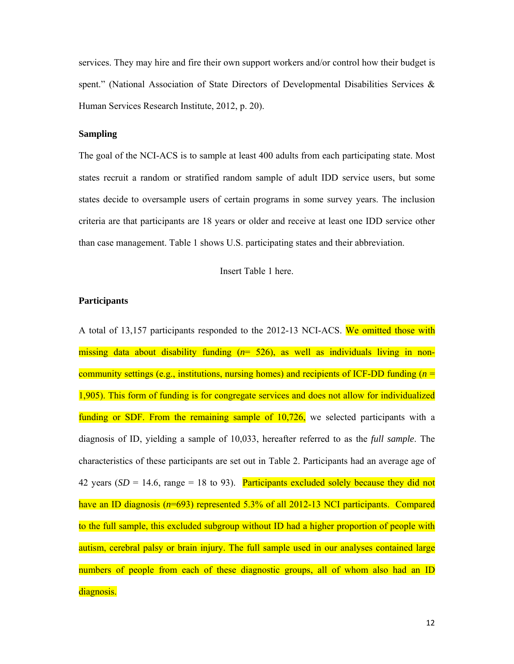services. They may hire and fire their own support workers and/or control how their budget is spent." (National Association of State Directors of Developmental Disabilities Services & Human Services Research Institute, 2012, p. 20).

# **Sampling**

The goal of the NCI-ACS is to sample at least 400 adults from each participating state. Most states recruit a random or stratified random sample of adult IDD service users, but some states decide to oversample users of certain programs in some survey years. The inclusion criteria are that participants are 18 years or older and receive at least one IDD service other than case management. Table 1 shows U.S. participating states and their abbreviation.

Insert Table 1 here.

#### **Participants**

A total of 13,157 participants responded to the 2012-13 NCI-ACS. We omitted those with missing data about disability funding (*n*= 526), as well as individuals living in noncommunity settings (e.g., institutions, nursing homes) and recipients of ICF-DD funding  $(n =$ 1,905). This form of funding is for congregate services and does not allow for individualized funding or SDF. From the remaining sample of 10,726, we selected participants with a diagnosis of ID, yielding a sample of 10,033, hereafter referred to as the *full sample*. The characteristics of these participants are set out in Table 2. Participants had an average age of 42 years  $(SD = 14.6, \text{ range} = 18 \text{ to } 93)$ . Participants excluded solely because they did not have an ID diagnosis (*n*=693) represented 5.3% of all 2012-13 NCI participants. Compared to the full sample, this excluded subgroup without ID had a higher proportion of people with autism, cerebral palsy or brain injury. The full sample used in our analyses contained large numbers of people from each of these diagnostic groups, all of whom also had an ID diagnosis.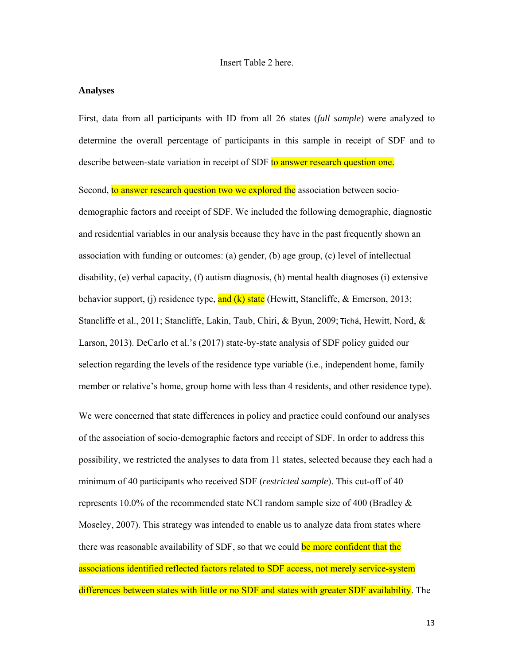#### **Analyses**

First, data from all participants with ID from all 26 states (*full sample*) were analyzed to determine the overall percentage of participants in this sample in receipt of SDF and to describe between-state variation in receipt of SDF to answer research question one.

Second, to answer research question two we explored the association between sociodemographic factors and receipt of SDF. We included the following demographic, diagnostic and residential variables in our analysis because they have in the past frequently shown an association with funding or outcomes: (a) gender, (b) age group, (c) level of intellectual disability, (e) verbal capacity, (f) autism diagnosis, (h) mental health diagnoses (i) extensive behavior support, (j) residence type, and (k) state (Hewitt, Stancliffe,  $\&$  Emerson, 2013; Stancliffe et al., 2011; Stancliffe, Lakin, Taub, Chiri, & Byun, 2009; Tichá, Hewitt, Nord, & Larson, 2013). DeCarlo et al.'s (2017) state-by-state analysis of SDF policy guided our selection regarding the levels of the residence type variable (i.e., independent home, family member or relative's home, group home with less than 4 residents, and other residence type).

We were concerned that state differences in policy and practice could confound our analyses of the association of socio-demographic factors and receipt of SDF. In order to address this possibility, we restricted the analyses to data from 11 states, selected because they each had a minimum of 40 participants who received SDF (*restricted sample*). This cut-off of 40 represents 10.0% of the recommended state NCI random sample size of 400 (Bradley  $\&$ Moseley, 2007). This strategy was intended to enable us to analyze data from states where there was reasonable availability of SDF, so that we could be more confident that the associations identified reflected factors related to SDF access, not merely service-system differences between states with little or no SDF and states with greater SDF availability. The

13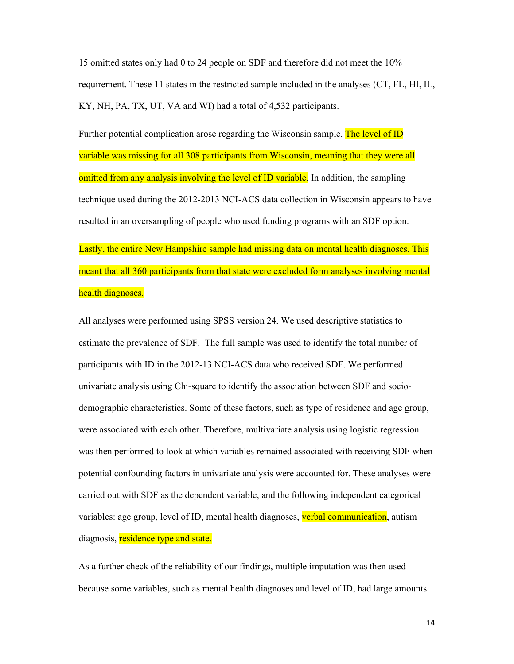15 omitted states only had 0 to 24 people on SDF and therefore did not meet the 10% requirement. These 11 states in the restricted sample included in the analyses (CT, FL, HI, IL, KY, NH, PA, TX, UT, VA and WI) had a total of 4,532 participants.

Further potential complication arose regarding the Wisconsin sample. The level of ID variable was missing for all 308 participants from Wisconsin, meaning that they were all omitted from any analysis involving the level of ID variable. In addition, the sampling technique used during the 2012-2013 NCI-ACS data collection in Wisconsin appears to have resulted in an oversampling of people who used funding programs with an SDF option.

Lastly, the entire New Hampshire sample had missing data on mental health diagnoses. This meant that all 360 participants from that state were excluded form analyses involving mental health diagnoses.

All analyses were performed using SPSS version 24. We used descriptive statistics to estimate the prevalence of SDF. The full sample was used to identify the total number of participants with ID in the 2012-13 NCI-ACS data who received SDF. We performed univariate analysis using Chi-square to identify the association between SDF and sociodemographic characteristics. Some of these factors, such as type of residence and age group, were associated with each other. Therefore, multivariate analysis using logistic regression was then performed to look at which variables remained associated with receiving SDF when potential confounding factors in univariate analysis were accounted for. These analyses were carried out with SDF as the dependent variable, and the following independent categorical variables: age group, level of ID, mental health diagnoses, verbal communication, autism diagnosis, residence type and state.

As a further check of the reliability of our findings, multiple imputation was then used because some variables, such as mental health diagnoses and level of ID, had large amounts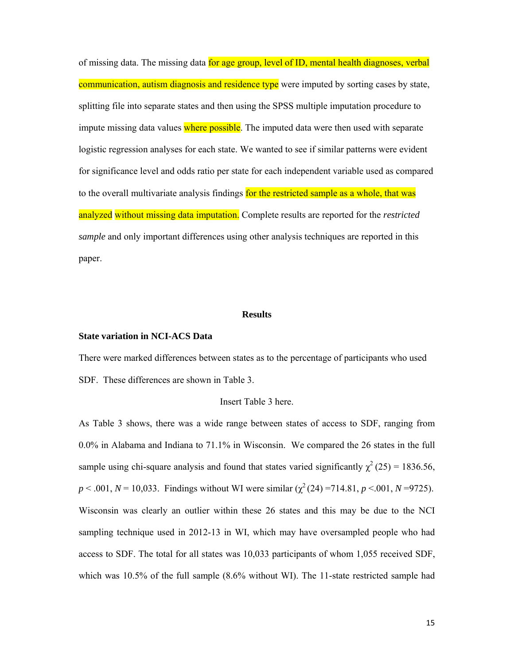of missing data. The missing data for age group, level of ID, mental health diagnoses, verbal communication, autism diagnosis and residence type were imputed by sorting cases by state, splitting file into separate states and then using the SPSS multiple imputation procedure to impute missing data values where possible. The imputed data were then used with separate logistic regression analyses for each state. We wanted to see if similar patterns were evident for significance level and odds ratio per state for each independent variable used as compared to the overall multivariate analysis findings for the restricted sample as a whole, that was analyzed without missing data imputation. Complete results are reported for the *restricted sample* and only important differences using other analysis techniques are reported in this paper.

#### **Results**

# **State variation in NCI-ACS Data**

There were marked differences between states as to the percentage of participants who used SDF. These differences are shown in Table 3.

# Insert Table 3 here.

As Table 3 shows, there was a wide range between states of access to SDF, ranging from 0.0% in Alabama and Indiana to 71.1% in Wisconsin. We compared the 26 states in the full sample using chi-square analysis and found that states varied significantly  $\chi^2$  (25) = 1836.56,  $p < .001$ ,  $N = 10,033$ . Findings without WI were similar  $(\chi^2(24) = 714.81, p < .001, N = 9725)$ . Wisconsin was clearly an outlier within these 26 states and this may be due to the NCI sampling technique used in 2012-13 in WI, which may have oversampled people who had access to SDF. The total for all states was 10,033 participants of whom 1,055 received SDF, which was 10.5% of the full sample  $(8.6\%$  without WI). The 11-state restricted sample had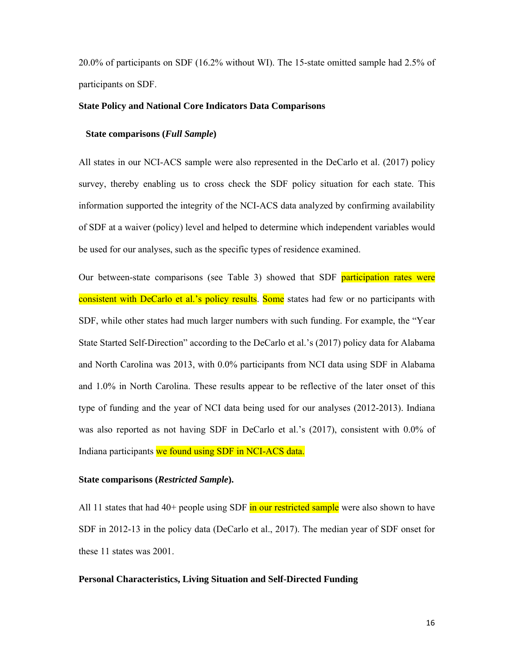20.0% of participants on SDF (16.2% without WI). The 15-state omitted sample had 2.5% of participants on SDF.

#### **State Policy and National Core Indicators Data Comparisons**

### **State comparisons (***Full Sample***)**

All states in our NCI-ACS sample were also represented in the DeCarlo et al. (2017) policy survey, thereby enabling us to cross check the SDF policy situation for each state. This information supported the integrity of the NCI-ACS data analyzed by confirming availability of SDF at a waiver (policy) level and helped to determine which independent variables would be used for our analyses, such as the specific types of residence examined.

Our between-state comparisons (see Table 3) showed that SDF participation rates were consistent with DeCarlo et al.'s policy results. Some states had few or no participants with SDF, while other states had much larger numbers with such funding. For example, the "Year State Started Self-Direction" according to the DeCarlo et al.'s (2017) policy data for Alabama and North Carolina was 2013, with 0.0% participants from NCI data using SDF in Alabama and 1.0% in North Carolina. These results appear to be reflective of the later onset of this type of funding and the year of NCI data being used for our analyses (2012-2013). Indiana was also reported as not having SDF in DeCarlo et al.'s (2017), consistent with 0.0% of Indiana participants we found using SDF in NCI-ACS data.

#### **State comparisons (***Restricted Sample***).**

All 11 states that had  $40+$  people using SDF in our restricted sample were also shown to have SDF in 2012-13 in the policy data (DeCarlo et al., 2017). The median year of SDF onset for these 11 states was 2001.

#### **Personal Characteristics, Living Situation and Self-Directed Funding**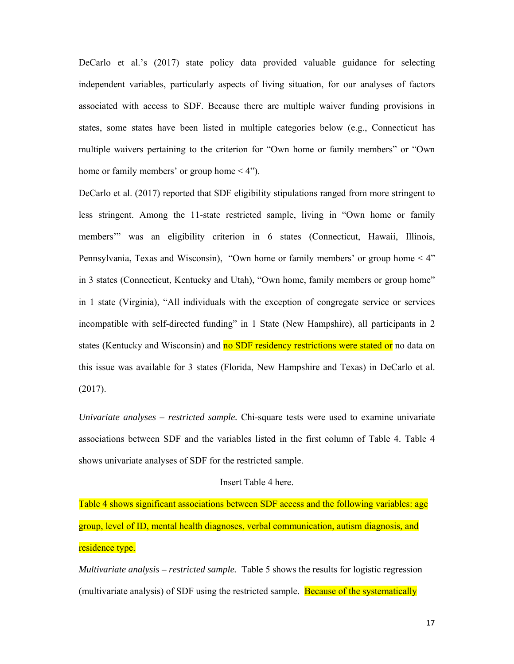DeCarlo et al.'s (2017) state policy data provided valuable guidance for selecting independent variables, particularly aspects of living situation, for our analyses of factors associated with access to SDF. Because there are multiple waiver funding provisions in states, some states have been listed in multiple categories below (e.g., Connecticut has multiple waivers pertaining to the criterion for "Own home or family members" or "Own home or family members' or group home < 4").

DeCarlo et al. (2017) reported that SDF eligibility stipulations ranged from more stringent to less stringent. Among the 11-state restricted sample, living in "Own home or family members'" was an eligibility criterion in 6 states (Connecticut, Hawaii, Illinois, Pennsylvania, Texas and Wisconsin), "Own home or family members' or group home < 4" in 3 states (Connecticut, Kentucky and Utah), "Own home, family members or group home" in 1 state (Virginia), "All individuals with the exception of congregate service or services incompatible with self-directed funding" in 1 State (New Hampshire), all participants in 2 states (Kentucky and Wisconsin) and no SDF residency restrictions were stated or no data on this issue was available for 3 states (Florida, New Hampshire and Texas) in DeCarlo et al. (2017).

*Univariate analyses – restricted sample.* Chi-square tests were used to examine univariate associations between SDF and the variables listed in the first column of Table 4. Table 4 shows univariate analyses of SDF for the restricted sample.

#### Insert Table 4 here.

Table 4 shows significant associations between SDF access and the following variables: age group, level of ID, mental health diagnoses, verbal communication, autism diagnosis, and residence type.

*Multivariate analysis – restricted sample.* Table 5 shows the results for logistic regression (multivariate analysis) of SDF using the restricted sample. Because of the systematically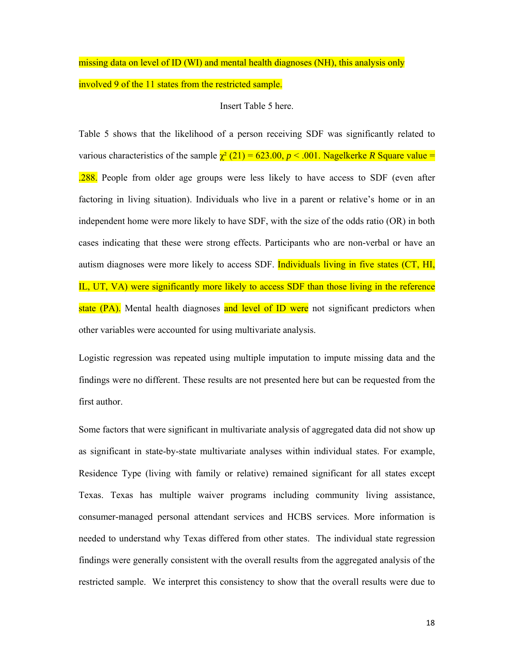# missing data on level of ID (WI) and mental health diagnoses (NH), this analysis only involved 9 of the 11 states from the restricted sample.

# Insert Table 5 here.

Table 5 shows that the likelihood of a person receiving SDF was significantly related to various characteristics of the sample  $\chi^2(21) = 623.00, p \lt 0.001$ . Nagelkerke *R* Square value = .288. People from older age groups were less likely to have access to SDF (even after factoring in living situation). Individuals who live in a parent or relative's home or in an independent home were more likely to have SDF, with the size of the odds ratio (OR) in both cases indicating that these were strong effects. Participants who are non-verbal or have an autism diagnoses were more likely to access SDF. **Individuals living in five states (CT, HI,** IL, UT, VA) were significantly more likely to access SDF than those living in the reference state (PA). Mental health diagnoses and level of ID were not significant predictors when other variables were accounted for using multivariate analysis.

Logistic regression was repeated using multiple imputation to impute missing data and the findings were no different. These results are not presented here but can be requested from the first author.

Some factors that were significant in multivariate analysis of aggregated data did not show up as significant in state-by-state multivariate analyses within individual states. For example, Residence Type (living with family or relative) remained significant for all states except Texas. Texas has multiple waiver programs including community living assistance, consumer-managed personal attendant services and HCBS services. More information is needed to understand why Texas differed from other states. The individual state regression findings were generally consistent with the overall results from the aggregated analysis of the restricted sample. We interpret this consistency to show that the overall results were due to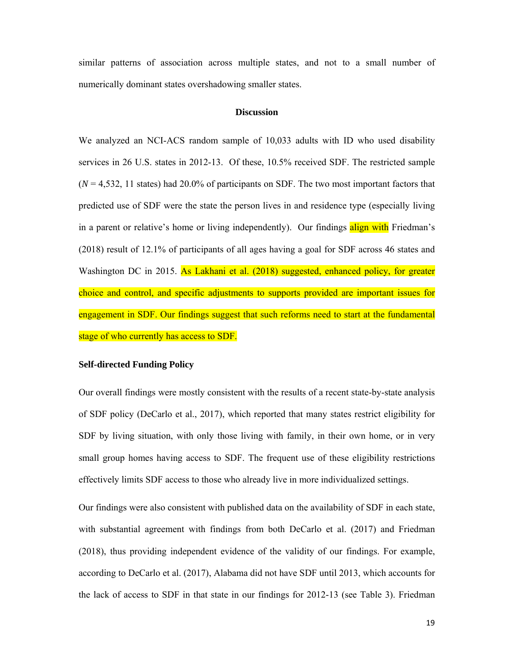similar patterns of association across multiple states, and not to a small number of numerically dominant states overshadowing smaller states.

#### **Discussion**

We analyzed an NCI-ACS random sample of 10,033 adults with ID who used disability services in 26 U.S. states in 2012-13. Of these, 10.5% received SDF. The restricted sample  $(N = 4,532, 11$  states) had 20.0% of participants on SDF. The two most important factors that predicted use of SDF were the state the person lives in and residence type (especially living in a parent or relative's home or living independently). Our findings align with Friedman's (2018) result of 12.1% of participants of all ages having a goal for SDF across 46 states and Washington DC in 2015. As Lakhani et al. (2018) suggested, enhanced policy, for greater choice and control, and specific adjustments to supports provided are important issues for engagement in SDF. Our findings suggest that such reforms need to start at the fundamental stage of who currently has access to SDF.

#### **Self-directed Funding Policy**

Our overall findings were mostly consistent with the results of a recent state-by-state analysis of SDF policy (DeCarlo et al., 2017), which reported that many states restrict eligibility for SDF by living situation, with only those living with family, in their own home, or in very small group homes having access to SDF. The frequent use of these eligibility restrictions effectively limits SDF access to those who already live in more individualized settings.

Our findings were also consistent with published data on the availability of SDF in each state, with substantial agreement with findings from both DeCarlo et al. (2017) and Friedman (2018), thus providing independent evidence of the validity of our findings. For example, according to DeCarlo et al. (2017), Alabama did not have SDF until 2013, which accounts for the lack of access to SDF in that state in our findings for 2012-13 (see Table 3). Friedman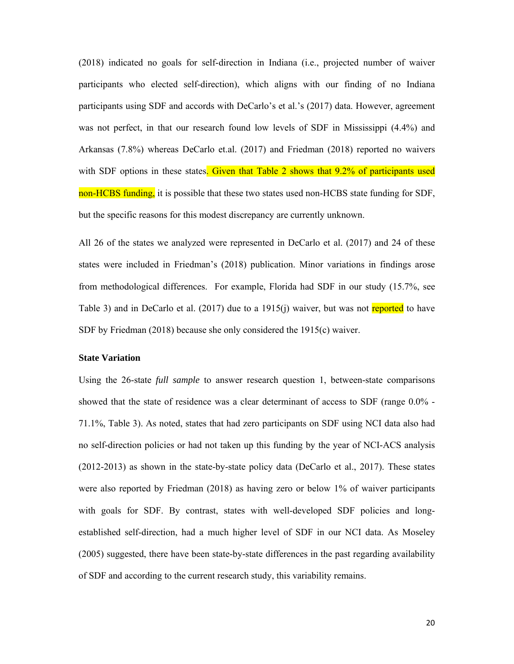(2018) indicated no goals for self-direction in Indiana (i.e., projected number of waiver participants who elected self-direction), which aligns with our finding of no Indiana participants using SDF and accords with DeCarlo's et al.'s (2017) data. However, agreement was not perfect, in that our research found low levels of SDF in Mississippi (4.4%) and Arkansas (7.8%) whereas DeCarlo et.al. (2017) and Friedman (2018) reported no waivers with SDF options in these states. Given that Table 2 shows that 9.2% of participants used non-HCBS funding, it is possible that these two states used non-HCBS state funding for SDF, but the specific reasons for this modest discrepancy are currently unknown.

All 26 of the states we analyzed were represented in DeCarlo et al. (2017) and 24 of these states were included in Friedman's (2018) publication. Minor variations in findings arose from methodological differences. For example, Florida had SDF in our study (15.7%, see Table 3) and in DeCarlo et al.  $(2017)$  due to a 1915(j) waiver, but was not reported to have SDF by Friedman (2018) because she only considered the 1915(c) waiver.

#### **State Variation**

Using the 26-state *full sample* to answer research question 1, between-state comparisons showed that the state of residence was a clear determinant of access to SDF (range 0.0% - 71.1%, Table 3). As noted, states that had zero participants on SDF using NCI data also had no self-direction policies or had not taken up this funding by the year of NCI-ACS analysis (2012-2013) as shown in the state-by-state policy data (DeCarlo et al., 2017). These states were also reported by Friedman (2018) as having zero or below 1% of waiver participants with goals for SDF. By contrast, states with well-developed SDF policies and longestablished self-direction, had a much higher level of SDF in our NCI data. As Moseley (2005) suggested, there have been state-by-state differences in the past regarding availability of SDF and according to the current research study, this variability remains.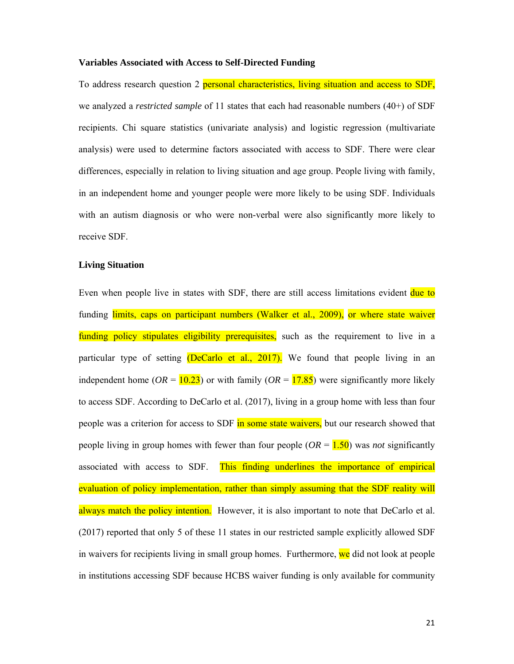#### **Variables Associated with Access to Self-Directed Funding**

To address research question 2 personal characteristics, living situation and access to SDF, we analyzed a *restricted sample* of 11 states that each had reasonable numbers (40+) of SDF recipients. Chi square statistics (univariate analysis) and logistic regression (multivariate analysis) were used to determine factors associated with access to SDF. There were clear differences, especially in relation to living situation and age group. People living with family, in an independent home and younger people were more likely to be using SDF. Individuals with an autism diagnosis or who were non-verbal were also significantly more likely to receive SDF.

#### **Living Situation**

Even when people live in states with SDF, there are still access limitations evident due to funding limits, caps on participant numbers (Walker et al., 2009), or where state waiver funding policy stipulates eligibility prerequisites, such as the requirement to live in a particular type of setting (DeCarlo et al., 2017). We found that people living in an independent home ( $OR = 10.23$ ) or with family ( $OR = 17.85$ ) were significantly more likely to access SDF. According to DeCarlo et al. (2017), living in a group home with less than four people was a criterion for access to SDF in some state waivers, but our research showed that people living in group homes with fewer than four people  $(OR = 1.50)$  was *not* significantly associated with access to SDF. This finding underlines the importance of empirical evaluation of policy implementation, rather than simply assuming that the SDF reality will always match the policy intention. However, it is also important to note that DeCarlo et al. (2017) reported that only 5 of these 11 states in our restricted sample explicitly allowed SDF in waivers for recipients living in small group homes. Furthermore, we did not look at people in institutions accessing SDF because HCBS waiver funding is only available for community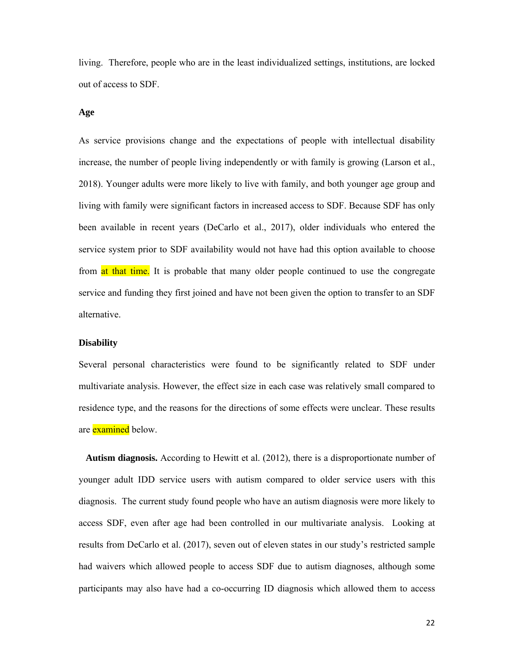living. Therefore, people who are in the least individualized settings, institutions, are locked out of access to SDF.

### **Age**

As service provisions change and the expectations of people with intellectual disability increase, the number of people living independently or with family is growing (Larson et al., 2018). Younger adults were more likely to live with family, and both younger age group and living with family were significant factors in increased access to SDF. Because SDF has only been available in recent years (DeCarlo et al., 2017), older individuals who entered the service system prior to SDF availability would not have had this option available to choose from at that time. It is probable that many older people continued to use the congregate service and funding they first joined and have not been given the option to transfer to an SDF alternative.

#### **Disability**

Several personal characteristics were found to be significantly related to SDF under multivariate analysis. However, the effect size in each case was relatively small compared to residence type, and the reasons for the directions of some effects were unclear. These results are **examined** below.

 **Autism diagnosis.** According to Hewitt et al. (2012), there is a disproportionate number of younger adult IDD service users with autism compared to older service users with this diagnosis. The current study found people who have an autism diagnosis were more likely to access SDF, even after age had been controlled in our multivariate analysis. Looking at results from DeCarlo et al. (2017), seven out of eleven states in our study's restricted sample had waivers which allowed people to access SDF due to autism diagnoses, although some participants may also have had a co-occurring ID diagnosis which allowed them to access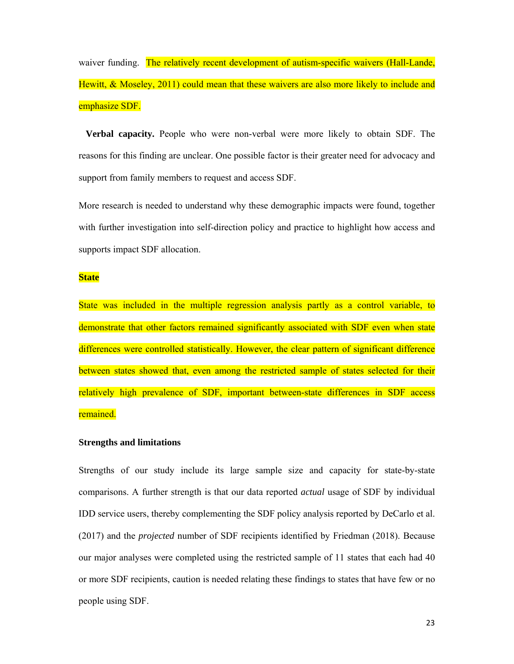waiver funding. The relatively recent development of autism-specific waivers (Hall-Lande, Hewitt, & Moseley, 2011) could mean that these waivers are also more likely to include and emphasize SDF.

 **Verbal capacity.** People who were non-verbal were more likely to obtain SDF. The reasons for this finding are unclear. One possible factor is their greater need for advocacy and support from family members to request and access SDF.

More research is needed to understand why these demographic impacts were found, together with further investigation into self-direction policy and practice to highlight how access and supports impact SDF allocation.

# **State**

State was included in the multiple regression analysis partly as a control variable, to demonstrate that other factors remained significantly associated with SDF even when state differences were controlled statistically. However, the clear pattern of significant difference between states showed that, even among the restricted sample of states selected for their relatively high prevalence of SDF, important between-state differences in SDF access remained.

# **Strengths and limitations**

Strengths of our study include its large sample size and capacity for state-by-state comparisons. A further strength is that our data reported *actual* usage of SDF by individual IDD service users, thereby complementing the SDF policy analysis reported by DeCarlo et al. (2017) and the *projected* number of SDF recipients identified by Friedman (2018). Because our major analyses were completed using the restricted sample of 11 states that each had 40 or more SDF recipients, caution is needed relating these findings to states that have few or no people using SDF.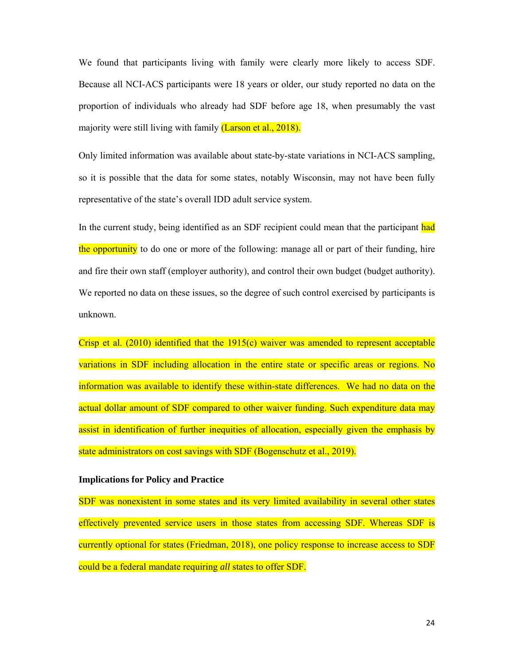We found that participants living with family were clearly more likely to access SDF. Because all NCI-ACS participants were 18 years or older, our study reported no data on the proportion of individuals who already had SDF before age 18, when presumably the vast majority were still living with family (Larson et al., 2018).

Only limited information was available about state-by-state variations in NCI-ACS sampling, so it is possible that the data for some states, notably Wisconsin, may not have been fully representative of the state's overall IDD adult service system.

In the current study, being identified as an SDF recipient could mean that the participant had the opportunity to do one or more of the following: manage all or part of their funding, hire and fire their own staff (employer authority), and control their own budget (budget authority). We reported no data on these issues, so the degree of such control exercised by participants is unknown.

Crisp et al.  $(2010)$  identified that the 1915(c) waiver was amended to represent acceptable variations in SDF including allocation in the entire state or specific areas or regions. No information was available to identify these within-state differences. We had no data on the actual dollar amount of SDF compared to other waiver funding. Such expenditure data may assist in identification of further inequities of allocation, especially given the emphasis by state administrators on cost savings with SDF (Bogenschutz et al., 2019).

### **Implications for Policy and Practice**

SDF was nonexistent in some states and its very limited availability in several other states effectively prevented service users in those states from accessing SDF. Whereas SDF is currently optional for states (Friedman, 2018), one policy response to increase access to SDF could be a federal mandate requiring *all* states to offer SDF.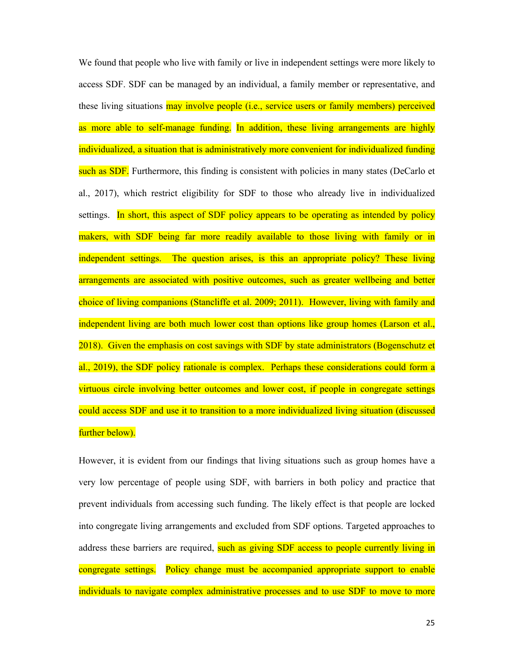We found that people who live with family or live in independent settings were more likely to access SDF. SDF can be managed by an individual, a family member or representative, and these living situations may involve people (i.e., service users or family members) perceived as more able to self-manage funding. In addition, these living arrangements are highly individualized, a situation that is administratively more convenient for individualized funding such as SDF. Furthermore, this finding is consistent with policies in many states (DeCarlo et al., 2017), which restrict eligibility for SDF to those who already live in individualized settings. In short, this aspect of SDF policy appears to be operating as intended by policy makers, with SDF being far more readily available to those living with family or in independent settings. The question arises, is this an appropriate policy? These living arrangements are associated with positive outcomes, such as greater wellbeing and better choice of living companions (Stancliffe et al. 2009; 2011). However, living with family and independent living are both much lower cost than options like group homes (Larson et al., 2018). Given the emphasis on cost savings with SDF by state administrators (Bogenschutz et al., 2019), the SDF policy rationale is complex. Perhaps these considerations could form a virtuous circle involving better outcomes and lower cost, if people in congregate settings could access SDF and use it to transition to a more individualized living situation (discussed further below).

However, it is evident from our findings that living situations such as group homes have a very low percentage of people using SDF, with barriers in both policy and practice that prevent individuals from accessing such funding. The likely effect is that people are locked into congregate living arrangements and excluded from SDF options. Targeted approaches to address these barriers are required, such as giving SDF access to people currently living in congregate settings. Policy change must be accompanied appropriate support to enable individuals to navigate complex administrative processes and to use SDF to move to more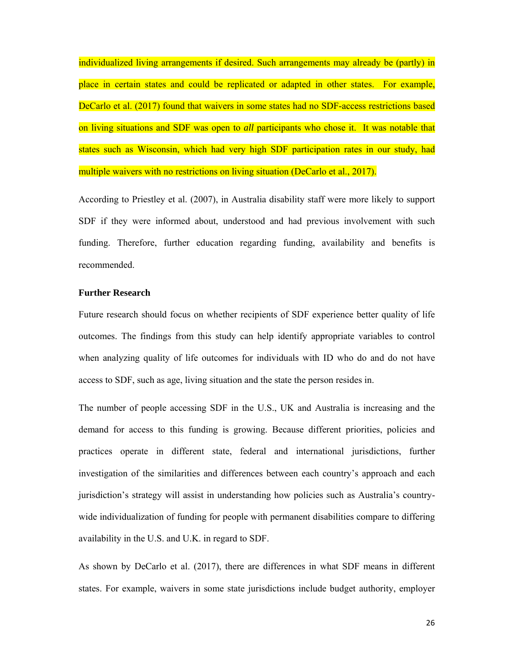individualized living arrangements if desired. Such arrangements may already be (partly) in place in certain states and could be replicated or adapted in other states. For example, DeCarlo et al. (2017) found that waivers in some states had no SDF-access restrictions based on living situations and SDF was open to *all* participants who chose it. It was notable that states such as Wisconsin, which had very high SDF participation rates in our study, had multiple waivers with no restrictions on living situation (DeCarlo et al., 2017).

According to Priestley et al. (2007), in Australia disability staff were more likely to support SDF if they were informed about, understood and had previous involvement with such funding. Therefore, further education regarding funding, availability and benefits is recommended.

# **Further Research**

Future research should focus on whether recipients of SDF experience better quality of life outcomes. The findings from this study can help identify appropriate variables to control when analyzing quality of life outcomes for individuals with ID who do and do not have access to SDF, such as age, living situation and the state the person resides in.

The number of people accessing SDF in the U.S., UK and Australia is increasing and the demand for access to this funding is growing. Because different priorities, policies and practices operate in different state, federal and international jurisdictions, further investigation of the similarities and differences between each country's approach and each jurisdiction's strategy will assist in understanding how policies such as Australia's countrywide individualization of funding for people with permanent disabilities compare to differing availability in the U.S. and U.K. in regard to SDF.

As shown by DeCarlo et al. (2017), there are differences in what SDF means in different states. For example, waivers in some state jurisdictions include budget authority, employer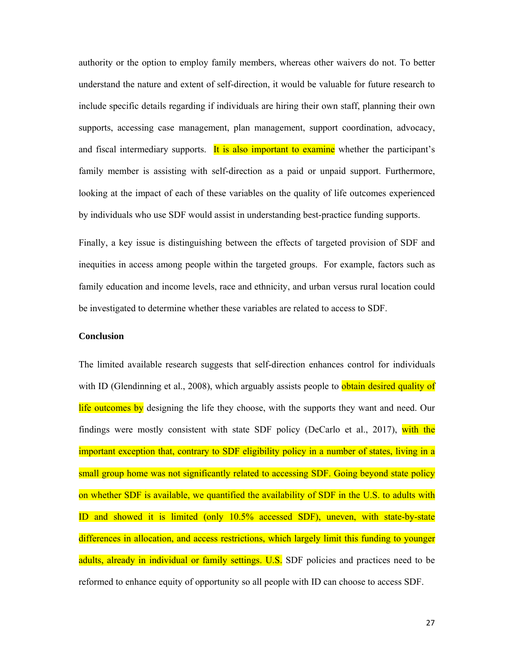authority or the option to employ family members, whereas other waivers do not. To better understand the nature and extent of self-direction, it would be valuable for future research to include specific details regarding if individuals are hiring their own staff, planning their own supports, accessing case management, plan management, support coordination, advocacy, and fiscal intermediary supports. It is also important to examine whether the participant's family member is assisting with self-direction as a paid or unpaid support. Furthermore, looking at the impact of each of these variables on the quality of life outcomes experienced by individuals who use SDF would assist in understanding best-practice funding supports.

Finally, a key issue is distinguishing between the effects of targeted provision of SDF and inequities in access among people within the targeted groups. For example, factors such as family education and income levels, race and ethnicity, and urban versus rural location could be investigated to determine whether these variables are related to access to SDF.

# **Conclusion**

The limited available research suggests that self-direction enhances control for individuals with ID (Glendinning et al., 2008), which arguably assists people to **obtain desired quality of** life outcomes by designing the life they choose, with the supports they want and need. Our findings were mostly consistent with state SDF policy (DeCarlo et al., 2017), with the important exception that, contrary to SDF eligibility policy in a number of states, living in a small group home was not significantly related to accessing SDF. Going beyond state policy on whether SDF is available, we quantified the availability of SDF in the U.S. to adults with ID and showed it is limited (only 10.5% accessed SDF), uneven, with state-by-state differences in allocation, and access restrictions, which largely limit this funding to younger adults, already in individual or family settings. U.S. SDF policies and practices need to be reformed to enhance equity of opportunity so all people with ID can choose to access SDF.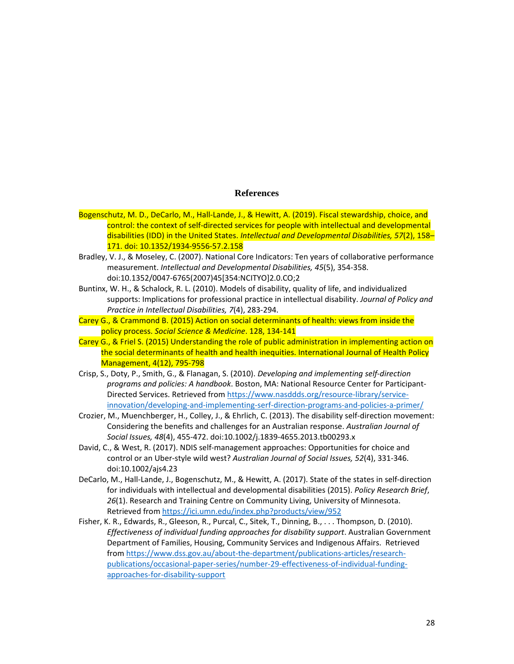#### **References**

- Bogenschutz, M. D., DeCarlo, M., Hall-Lande, J., & Hewitt, A. (2019). Fiscal stewardship, choice, and control: the context of self-directed services for people with intellectual and developmental disabilities (IDD) in the United States. *Intellectual and Developmental Disabilities, 57*(2), 158– 171. doi: 10.1352/1934-9556-57.2.158
- Bradley, V. J., & Moseley, C. (2007). National Core Indicators: Ten years of collaborative performance measurement. *Intellectual and Developmental Disabilities, 45*(5), 354-358. doi:10.1352/0047-6765(2007)45[354:NCITYO]2.0.CO;2
- Buntinx, W. H., & Schalock, R. L. (2010). Models of disability, quality of life, and individualized supports: Implications for professional practice in intellectual disability. *Journal of Policy and Practice in Intellectual Disabilities, 7*(4), 283-294.
- Carey G., & Crammond B. (2015) Action on social determinants of health: views from inside the policy process. *Social Science & Medicine*. 128, 134-141
- Carey G., & Friel S. (2015) Understanding the role of public administration in implementing action on the social determinants of health and health inequities. International Journal of Health Policy Management, 4(12), 795-798
- Crisp, S., Doty, P., Smith, G., & Flanagan, S. (2010). *Developing and implementing self-direction programs and policies: A handbook*. Boston, MA: National Resource Center for Participant-Directed Services. Retrieved from https://www.nasddds.org/resource-library/serviceinnovation/developing-and-implementing-serf-direction-programs-and-policies-a-primer/
- Crozier, M., Muenchberger, H., Colley, J., & Ehrlich, C. (2013). The disability self-direction movement: Considering the benefits and challenges for an Australian response. *Australian Journal of Social Issues, 48*(4), 455-472. doi:10.1002/j.1839-4655.2013.tb00293.x
- David, C., & West, R. (2017). NDIS self-management approaches: Opportunities for choice and control or an Uber-style wild west? *Australian Journal of Social Issues, 52*(4), 331-346. doi:10.1002/ajs4.23
- DeCarlo, M., Hall-Lande, J., Bogenschutz, M., & Hewitt, A. (2017). State of the states in self-direction for individuals with intellectual and developmental disabilities (2015). *Policy Research Brief*, *26*(1). Research and Training Centre on Community Living, University of Minnesota. Retrieved from https://ici.umn.edu/index.php?products/view/952
- Fisher, K. R., Edwards, R., Gleeson, R., Purcal, C., Sitek, T., Dinning, B., . . . Thompson, D. (2010). *Effectiveness of individual funding approaches for disability support*. Australian Government Department of Families, Housing, Community Services and Indigenous Affairs. Retrieved from https://www.dss.gov.au/about-the-department/publications-articles/researchpublications/occasional-paper-series/number-29-effectiveness-of-individual-fundingapproaches-for-disability-support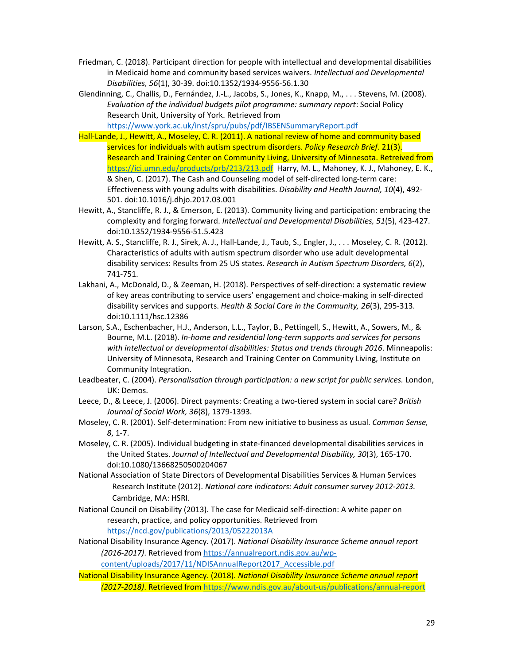- Friedman, C. (2018). Participant direction for people with intellectual and developmental disabilities in Medicaid home and community based services waivers. *Intellectual and Developmental Disabilities, 56*(1), 30-39. doi:10.1352/1934-9556-56.1.30
- Glendinning, C., Challis, D., Fernández, J.-L., Jacobs, S., Jones, K., Knapp, M., . . . Stevens, M. (2008). *Evaluation of the individual budgets pilot programme: summary report*: Social Policy Research Unit, University of York. Retrieved from https://www.york.ac.uk/inst/spru/pubs/pdf/IBSENSummaryReport.pdf

Hall-Lande, J., Hewitt, A., Moseley, C. R. (2011). A national review of home and community based services for individuals with autism spectrum disorders. *Policy Research Brief*. 21(3). Research and Training Center on Community Living, University of Minnesota. Retreived from https://ici.umn.edu/products/prb/213/213.pdf Harry, M. L., Mahoney, K. J., Mahoney, E. K., & Shen, C. (2017). The Cash and Counseling model of self-directed long-term care: Effectiveness with young adults with disabilities. *Disability and Health Journal, 10*(4), 492- 501. doi:10.1016/j.dhjo.2017.03.001

- Hewitt, A., Stancliffe, R. J., & Emerson, E. (2013). Community living and participation: embracing the complexity and forging forward. *Intellectual and Developmental Disabilities, 51*(5), 423-427. doi:10.1352/1934-9556-51.5.423
- Hewitt, A. S., Stancliffe, R. J., Sirek, A. J., Hall-Lande, J., Taub, S., Engler, J., . . . Moseley, C. R. (2012). Characteristics of adults with autism spectrum disorder who use adult developmental disability services: Results from 25 US states. *Research in Autism Spectrum Disorders, 6*(2), 741-751.
- Lakhani, A., McDonald, D., & Zeeman, H. (2018). Perspectives of self-direction: a systematic review of key areas contributing to service users' engagement and choice-making in self-directed disability services and supports. *Health & Social Care in the Community, 26*(3), 295-313. doi:10.1111/hsc.12386
- Larson, S.A., Eschenbacher, H.J., Anderson, L.L., Taylor, B., Pettingell, S., Hewitt, A., Sowers, M., & Bourne, M.L. (2018). *In-home and residential long-term supports and services for persons with intellectual or developmental disabilities: Status and trends through 2016*. Minneapolis: University of Minnesota, Research and Training Center on Community Living, Institute on Community Integration.
- Leadbeater, C. (2004). *Personalisation through participation: a new script for public services.* London, UK: Demos.
- Leece, D., & Leece, J. (2006). Direct payments: Creating a two-tiered system in social care? *British Journal of Social Work, 36*(8), 1379-1393.
- Moseley, C. R. (2001). Self-determination: From new initiative to business as usual. *Common Sense, 8*, 1-7.
- Moseley, C. R. (2005). Individual budgeting in state-financed developmental disabilities services in the United States. *Journal of Intellectual and Developmental Disability, 30*(3), 165-170. doi:10.1080/13668250500204067
- National Association of State Directors of Developmental Disabilities Services & Human Services Research Institute (2012). *National core indicators: Adult consumer survey 2012-2013.* Cambridge, MA: HSRI.
- National Council on Disability (2013). The case for Medicaid self-direction: A white paper on research, practice, and policy opportunities. Retrieved from https://ncd.gov/publications/2013/05222013A
- National Disability Insurance Agency. (2017). *National Disability Insurance Scheme annual report (2016-2017)*. Retrieved from https://annualreport.ndis.gov.au/wp-

content/uploads/2017/11/NDISAnnualReport2017\_Accessible.pdf

National Disability Insurance Agency. (2018). *National Disability Insurance Scheme annual report (2017-2018)*. Retrieved from https://www.ndis.gov.au/about-us/publications/annual-report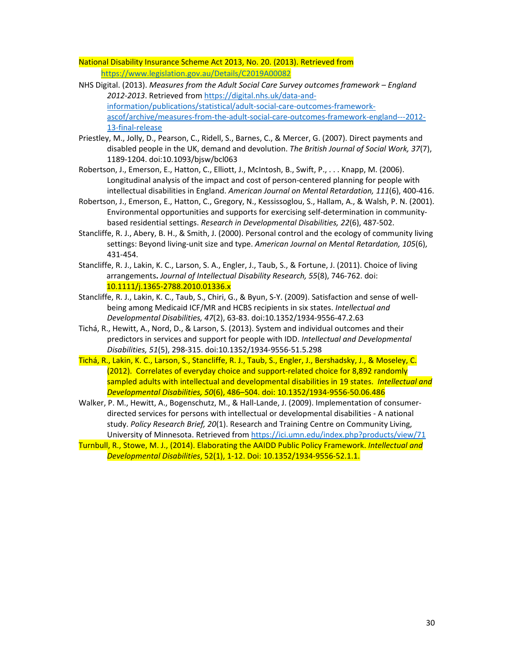National Disability Insurance Scheme Act 2013, No. 20. (2013). Retrieved from https://www.legislation.gov.au/Details/C2019A00082

- NHS Digital. (2013). *Measures from the Adult Social Care Survey outcomes framework England 2012-2013*. Retrieved from https://digital.nhs.uk/data-andinformation/publications/statistical/adult-social-care-outcomes-frameworkascof/archive/measures-from-the-adult-social-care-outcomes-framework-england---2012- 13-final-release
- Priestley, M., Jolly, D., Pearson, C., Ridell, S., Barnes, C., & Mercer, G. (2007). Direct payments and disabled people in the UK, demand and devolution. *The British Journal of Social Work, 37*(7), 1189-1204. doi:10.1093/bjsw/bcl063
- Robertson, J., Emerson, E., Hatton, C., Elliott, J., McIntosh, B., Swift, P., . . . Knapp, M. (2006). Longitudinal analysis of the impact and cost of person-centered planning for people with intellectual disabilities in England. *American Journal on Mental Retardation, 111*(6), 400-416.
- Robertson, J., Emerson, E., Hatton, C., Gregory, N., Kessissoglou, S., Hallam, A., & Walsh, P. N. (2001). Environmental opportunities and supports for exercising self-determination in communitybased residential settings. *Research in Developmental Disabilities, 22*(6), 487-502.
- Stancliffe, R. J., Abery, B. H., & Smith, J. (2000). Personal control and the ecology of community living settings: Beyond living-unit size and type. *American Journal on Mental Retardation, 105*(6), 431-454.
- Stancliffe, R. J., Lakin, K. C., Larson, S. A., Engler, J., Taub, S., & Fortune, J. (2011). Choice of living arrangements**.** *Journal of Intellectual Disability Research, 55*(8), 746-762. doi: 10.1111/j.1365-2788.2010.01336.x
- Stancliffe, R. J., Lakin, K. C., Taub, S., Chiri, G., & Byun, S-Y. (2009). Satisfaction and sense of wellbeing among Medicaid ICF/MR and HCBS recipients in six states. *Intellectual and Developmental Disabilities, 47*(2), 63-83. doi:10.1352/1934-9556-47.2.63
- Tichá, R., Hewitt, A., Nord, D., & Larson, S. (2013). System and individual outcomes and their predictors in services and support for people with IDD. *Intellectual and Developmental Disabilities, 51*(5), 298-315. doi:10.1352/1934-9556-51.5.298
- Tichá, R., Lakin, K. C., Larson, S., Stancliffe, R. J., Taub, S., Engler, J., Bershadsky, J., & Moseley, C. (2012). Correlates of everyday choice and support-related choice for 8,892 randomly sampled adults with intellectual and developmental disabilities in 19 states. *Intellectual and Developmental Disabilities, 50*(6), 486–504. doi: 10.1352/1934-9556-50.06.486
- Walker, P. M., Hewitt, A., Bogenschutz, M., & Hall-Lande, J. (2009). Implementation of consumerdirected services for persons with intellectual or developmental disabilities - A national study. *Policy Research Brief, 20*(1). Research and Training Centre on Community Living, University of Minnesota. Retrieved from https://ici.umn.edu/index.php?products/view/71
- Turnbull, R., Stowe, M. J., (2014). Elaborating the AAIDD Public Policy Framework. *Intellectual and Developmental Disabilities*, 52(1), 1-12. Doi: 10.1352/1934-9556-52.1.1.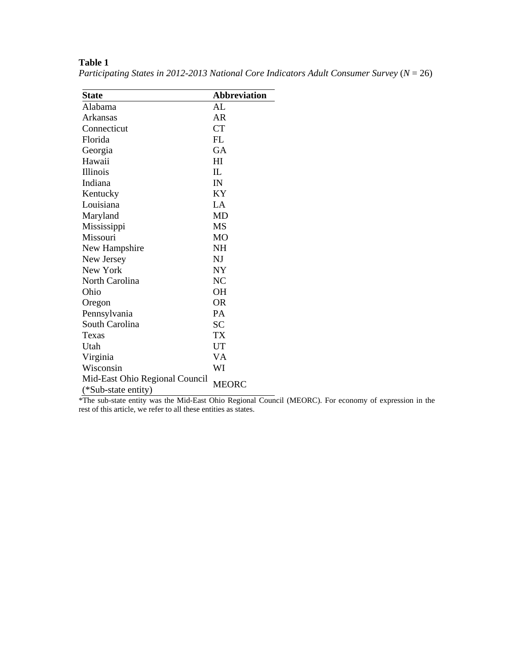| <b>State</b>                   | <b>Abbreviation</b> |
|--------------------------------|---------------------|
| Alabama                        | AL                  |
| Arkansas                       | AR                  |
| Connecticut                    | <b>CT</b>           |
| Florida                        | FL                  |
| Georgia                        | <b>GA</b>           |
| Hawaii                         | HI                  |
| Illinois                       | IL                  |
| Indiana                        | IN                  |
| Kentucky                       | KY                  |
| Louisiana                      | LA                  |
| Maryland                       | MD                  |
| Mississippi                    | MS                  |
| Missouri                       | M <sub>O</sub>      |
| New Hampshire                  | NΗ                  |
| New Jersey                     | NJ                  |
| New York                       | NY                  |
| North Carolina                 | NC                  |
| Ohio                           | <b>OH</b>           |
| Oregon                         | <b>OR</b>           |
| Pennsylvania                   | PA                  |
| South Carolina                 | SС                  |
| Texas                          | TX                  |
| Utah                           | UT                  |
| Virginia                       | VA                  |
| Wisconsin                      | WI                  |
| Mid-East Ohio Regional Council | MEORC               |
| (*Sub-state entity)            |                     |

**Table 1** 

*Participating States in 2012-2013 National Core Indicators Adult Consumer Survey* (*N* = 26)

\*The sub-state entity was the Mid-East Ohio Regional Council (MEORC). For economy of expression in the rest of this article, we refer to all these entities as states.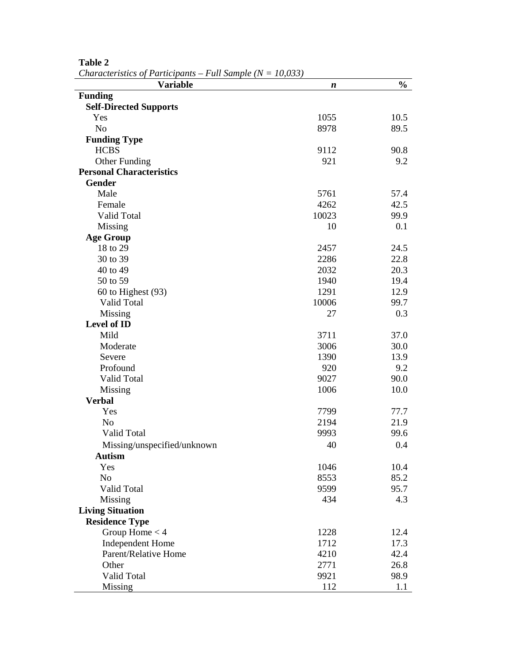| <b>Funding</b><br><b>Self-Directed Supports</b><br>10.5<br>Yes<br>1055<br>N <sub>o</sub><br>8978<br>89.5<br><b>Funding Type</b><br><b>HCBS</b><br>9112<br>90.8<br>Other Funding<br>921<br>9.2<br><b>Personal Characteristics</b><br><b>Gender</b><br>Male<br>5761<br>57.4<br>42.5<br>4262<br>Female<br>Valid Total<br>10023<br>99.9<br>Missing<br>10<br>0.1<br><b>Age Group</b><br>18 to 29<br>2457<br>24.5<br>22.8<br>30 to 39<br>2286<br>20.3<br>40 to 49<br>2032<br>50 to 59<br>1940<br>19.4<br>60 to Highest (93)<br>1291<br>12.9<br>Valid Total<br>10006<br>99.7<br>0.3<br>Missing<br>27<br><b>Level of ID</b><br>Mild<br>3711<br>37.0<br>3006<br>30.0<br>Moderate<br>1390<br>13.9<br>Severe<br>Profound<br>9.2<br>920<br>Valid Total<br>9027<br>90.0<br>1006<br>10.0<br>Missing<br><b>Verbal</b><br>Yes<br>7799<br>77.7<br>N <sub>o</sub><br>21.9<br>2194<br>Valid Total<br>9993<br>99.6<br>0.4<br>Missing/unspecified/unknown<br>40<br><b>Autism</b><br>Yes<br>1046<br>10.4<br>N <sub>o</sub><br>8553<br>85.2<br>Valid Total<br>9599<br>95.7<br>434<br>4.3<br>Missing<br><b>Living Situation</b><br><b>Residence Type</b><br>Group Home $<$ 4<br>1228<br>12.4<br>Independent Home<br>1712<br>17.3<br>Parent/Relative Home<br>4210<br>42.4<br>Other<br>2771<br>26.8<br>Valid Total<br>9921<br>98.9<br>112<br>Missing<br>1.1 | $C$ haracteristics of 1 articipanis – 1 au bample (1 $\epsilon = 10,000$ )<br><b>Variable</b> | n | $\frac{0}{0}$ |
|-----------------------------------------------------------------------------------------------------------------------------------------------------------------------------------------------------------------------------------------------------------------------------------------------------------------------------------------------------------------------------------------------------------------------------------------------------------------------------------------------------------------------------------------------------------------------------------------------------------------------------------------------------------------------------------------------------------------------------------------------------------------------------------------------------------------------------------------------------------------------------------------------------------------------------------------------------------------------------------------------------------------------------------------------------------------------------------------------------------------------------------------------------------------------------------------------------------------------------------------------------------------------------------------------------------------------------------|-----------------------------------------------------------------------------------------------|---|---------------|
|                                                                                                                                                                                                                                                                                                                                                                                                                                                                                                                                                                                                                                                                                                                                                                                                                                                                                                                                                                                                                                                                                                                                                                                                                                                                                                                                   |                                                                                               |   |               |
|                                                                                                                                                                                                                                                                                                                                                                                                                                                                                                                                                                                                                                                                                                                                                                                                                                                                                                                                                                                                                                                                                                                                                                                                                                                                                                                                   |                                                                                               |   |               |
|                                                                                                                                                                                                                                                                                                                                                                                                                                                                                                                                                                                                                                                                                                                                                                                                                                                                                                                                                                                                                                                                                                                                                                                                                                                                                                                                   |                                                                                               |   |               |
|                                                                                                                                                                                                                                                                                                                                                                                                                                                                                                                                                                                                                                                                                                                                                                                                                                                                                                                                                                                                                                                                                                                                                                                                                                                                                                                                   |                                                                                               |   |               |
|                                                                                                                                                                                                                                                                                                                                                                                                                                                                                                                                                                                                                                                                                                                                                                                                                                                                                                                                                                                                                                                                                                                                                                                                                                                                                                                                   |                                                                                               |   |               |
|                                                                                                                                                                                                                                                                                                                                                                                                                                                                                                                                                                                                                                                                                                                                                                                                                                                                                                                                                                                                                                                                                                                                                                                                                                                                                                                                   |                                                                                               |   |               |
|                                                                                                                                                                                                                                                                                                                                                                                                                                                                                                                                                                                                                                                                                                                                                                                                                                                                                                                                                                                                                                                                                                                                                                                                                                                                                                                                   |                                                                                               |   |               |
|                                                                                                                                                                                                                                                                                                                                                                                                                                                                                                                                                                                                                                                                                                                                                                                                                                                                                                                                                                                                                                                                                                                                                                                                                                                                                                                                   |                                                                                               |   |               |
|                                                                                                                                                                                                                                                                                                                                                                                                                                                                                                                                                                                                                                                                                                                                                                                                                                                                                                                                                                                                                                                                                                                                                                                                                                                                                                                                   |                                                                                               |   |               |
|                                                                                                                                                                                                                                                                                                                                                                                                                                                                                                                                                                                                                                                                                                                                                                                                                                                                                                                                                                                                                                                                                                                                                                                                                                                                                                                                   |                                                                                               |   |               |
|                                                                                                                                                                                                                                                                                                                                                                                                                                                                                                                                                                                                                                                                                                                                                                                                                                                                                                                                                                                                                                                                                                                                                                                                                                                                                                                                   |                                                                                               |   |               |
|                                                                                                                                                                                                                                                                                                                                                                                                                                                                                                                                                                                                                                                                                                                                                                                                                                                                                                                                                                                                                                                                                                                                                                                                                                                                                                                                   |                                                                                               |   |               |
|                                                                                                                                                                                                                                                                                                                                                                                                                                                                                                                                                                                                                                                                                                                                                                                                                                                                                                                                                                                                                                                                                                                                                                                                                                                                                                                                   |                                                                                               |   |               |
|                                                                                                                                                                                                                                                                                                                                                                                                                                                                                                                                                                                                                                                                                                                                                                                                                                                                                                                                                                                                                                                                                                                                                                                                                                                                                                                                   |                                                                                               |   |               |
|                                                                                                                                                                                                                                                                                                                                                                                                                                                                                                                                                                                                                                                                                                                                                                                                                                                                                                                                                                                                                                                                                                                                                                                                                                                                                                                                   |                                                                                               |   |               |
|                                                                                                                                                                                                                                                                                                                                                                                                                                                                                                                                                                                                                                                                                                                                                                                                                                                                                                                                                                                                                                                                                                                                                                                                                                                                                                                                   |                                                                                               |   |               |
|                                                                                                                                                                                                                                                                                                                                                                                                                                                                                                                                                                                                                                                                                                                                                                                                                                                                                                                                                                                                                                                                                                                                                                                                                                                                                                                                   |                                                                                               |   |               |
|                                                                                                                                                                                                                                                                                                                                                                                                                                                                                                                                                                                                                                                                                                                                                                                                                                                                                                                                                                                                                                                                                                                                                                                                                                                                                                                                   |                                                                                               |   |               |
|                                                                                                                                                                                                                                                                                                                                                                                                                                                                                                                                                                                                                                                                                                                                                                                                                                                                                                                                                                                                                                                                                                                                                                                                                                                                                                                                   |                                                                                               |   |               |
|                                                                                                                                                                                                                                                                                                                                                                                                                                                                                                                                                                                                                                                                                                                                                                                                                                                                                                                                                                                                                                                                                                                                                                                                                                                                                                                                   |                                                                                               |   |               |
|                                                                                                                                                                                                                                                                                                                                                                                                                                                                                                                                                                                                                                                                                                                                                                                                                                                                                                                                                                                                                                                                                                                                                                                                                                                                                                                                   |                                                                                               |   |               |
|                                                                                                                                                                                                                                                                                                                                                                                                                                                                                                                                                                                                                                                                                                                                                                                                                                                                                                                                                                                                                                                                                                                                                                                                                                                                                                                                   |                                                                                               |   |               |
|                                                                                                                                                                                                                                                                                                                                                                                                                                                                                                                                                                                                                                                                                                                                                                                                                                                                                                                                                                                                                                                                                                                                                                                                                                                                                                                                   |                                                                                               |   |               |
|                                                                                                                                                                                                                                                                                                                                                                                                                                                                                                                                                                                                                                                                                                                                                                                                                                                                                                                                                                                                                                                                                                                                                                                                                                                                                                                                   |                                                                                               |   |               |
|                                                                                                                                                                                                                                                                                                                                                                                                                                                                                                                                                                                                                                                                                                                                                                                                                                                                                                                                                                                                                                                                                                                                                                                                                                                                                                                                   |                                                                                               |   |               |
|                                                                                                                                                                                                                                                                                                                                                                                                                                                                                                                                                                                                                                                                                                                                                                                                                                                                                                                                                                                                                                                                                                                                                                                                                                                                                                                                   |                                                                                               |   |               |
|                                                                                                                                                                                                                                                                                                                                                                                                                                                                                                                                                                                                                                                                                                                                                                                                                                                                                                                                                                                                                                                                                                                                                                                                                                                                                                                                   |                                                                                               |   |               |
|                                                                                                                                                                                                                                                                                                                                                                                                                                                                                                                                                                                                                                                                                                                                                                                                                                                                                                                                                                                                                                                                                                                                                                                                                                                                                                                                   |                                                                                               |   |               |
|                                                                                                                                                                                                                                                                                                                                                                                                                                                                                                                                                                                                                                                                                                                                                                                                                                                                                                                                                                                                                                                                                                                                                                                                                                                                                                                                   |                                                                                               |   |               |
|                                                                                                                                                                                                                                                                                                                                                                                                                                                                                                                                                                                                                                                                                                                                                                                                                                                                                                                                                                                                                                                                                                                                                                                                                                                                                                                                   |                                                                                               |   |               |
|                                                                                                                                                                                                                                                                                                                                                                                                                                                                                                                                                                                                                                                                                                                                                                                                                                                                                                                                                                                                                                                                                                                                                                                                                                                                                                                                   |                                                                                               |   |               |
|                                                                                                                                                                                                                                                                                                                                                                                                                                                                                                                                                                                                                                                                                                                                                                                                                                                                                                                                                                                                                                                                                                                                                                                                                                                                                                                                   |                                                                                               |   |               |
|                                                                                                                                                                                                                                                                                                                                                                                                                                                                                                                                                                                                                                                                                                                                                                                                                                                                                                                                                                                                                                                                                                                                                                                                                                                                                                                                   |                                                                                               |   |               |
|                                                                                                                                                                                                                                                                                                                                                                                                                                                                                                                                                                                                                                                                                                                                                                                                                                                                                                                                                                                                                                                                                                                                                                                                                                                                                                                                   |                                                                                               |   |               |
|                                                                                                                                                                                                                                                                                                                                                                                                                                                                                                                                                                                                                                                                                                                                                                                                                                                                                                                                                                                                                                                                                                                                                                                                                                                                                                                                   |                                                                                               |   |               |
|                                                                                                                                                                                                                                                                                                                                                                                                                                                                                                                                                                                                                                                                                                                                                                                                                                                                                                                                                                                                                                                                                                                                                                                                                                                                                                                                   |                                                                                               |   |               |
|                                                                                                                                                                                                                                                                                                                                                                                                                                                                                                                                                                                                                                                                                                                                                                                                                                                                                                                                                                                                                                                                                                                                                                                                                                                                                                                                   |                                                                                               |   |               |
|                                                                                                                                                                                                                                                                                                                                                                                                                                                                                                                                                                                                                                                                                                                                                                                                                                                                                                                                                                                                                                                                                                                                                                                                                                                                                                                                   |                                                                                               |   |               |
|                                                                                                                                                                                                                                                                                                                                                                                                                                                                                                                                                                                                                                                                                                                                                                                                                                                                                                                                                                                                                                                                                                                                                                                                                                                                                                                                   |                                                                                               |   |               |
|                                                                                                                                                                                                                                                                                                                                                                                                                                                                                                                                                                                                                                                                                                                                                                                                                                                                                                                                                                                                                                                                                                                                                                                                                                                                                                                                   |                                                                                               |   |               |
|                                                                                                                                                                                                                                                                                                                                                                                                                                                                                                                                                                                                                                                                                                                                                                                                                                                                                                                                                                                                                                                                                                                                                                                                                                                                                                                                   |                                                                                               |   |               |
|                                                                                                                                                                                                                                                                                                                                                                                                                                                                                                                                                                                                                                                                                                                                                                                                                                                                                                                                                                                                                                                                                                                                                                                                                                                                                                                                   |                                                                                               |   |               |
|                                                                                                                                                                                                                                                                                                                                                                                                                                                                                                                                                                                                                                                                                                                                                                                                                                                                                                                                                                                                                                                                                                                                                                                                                                                                                                                                   |                                                                                               |   |               |
|                                                                                                                                                                                                                                                                                                                                                                                                                                                                                                                                                                                                                                                                                                                                                                                                                                                                                                                                                                                                                                                                                                                                                                                                                                                                                                                                   |                                                                                               |   |               |
|                                                                                                                                                                                                                                                                                                                                                                                                                                                                                                                                                                                                                                                                                                                                                                                                                                                                                                                                                                                                                                                                                                                                                                                                                                                                                                                                   |                                                                                               |   |               |
|                                                                                                                                                                                                                                                                                                                                                                                                                                                                                                                                                                                                                                                                                                                                                                                                                                                                                                                                                                                                                                                                                                                                                                                                                                                                                                                                   |                                                                                               |   |               |

**Table 2** 

*Characteristics of Participants – Full Sample (N = 10,033)*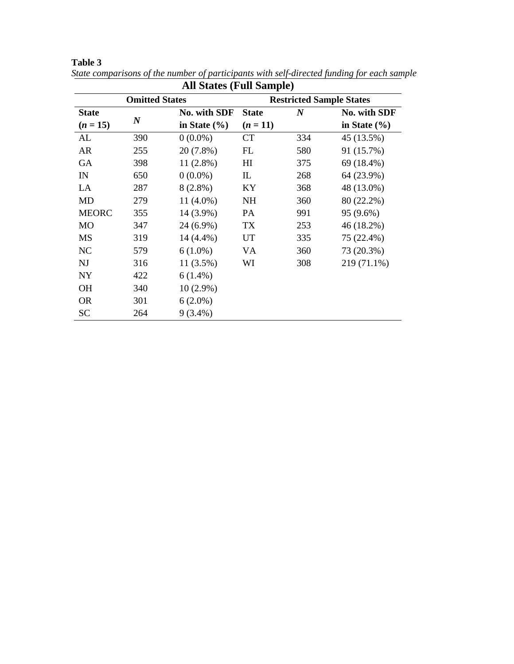| <b>All States (Full Sample)</b> |                  |                  |                                 |                  |                  |  |
|---------------------------------|------------------|------------------|---------------------------------|------------------|------------------|--|
| <b>Omitted States</b>           |                  |                  | <b>Restricted Sample States</b> |                  |                  |  |
| <b>State</b>                    |                  | No. with SDF     | <b>State</b>                    | $\boldsymbol{N}$ | No. with SDF     |  |
| $(n = 15)$                      | $\boldsymbol{N}$ | in State $(\% )$ | $(n = 11)$                      |                  | in State $(\% )$ |  |
| AL                              | 390              | $0(0.0\%)$       | <b>CT</b>                       | 334              | 45 (13.5%)       |  |
| <b>AR</b>                       | 255              | 20 (7.8%)        | FL                              | 580              | 91 (15.7%)       |  |
| GA                              | 398              | $11(2.8\%)$      | HI                              | 375              | 69 (18.4%)       |  |
| IN                              | 650              | $0(0.0\%)$       | IL                              | 268              | 64 (23.9%)       |  |
| LA                              | 287              | $8(2.8\%)$       | KY                              | 368              | 48 (13.0%)       |  |
| MD                              | 279              | $11(4.0\%)$      | <b>NH</b>                       | 360              | 80 (22.2%)       |  |
| <b>MEORC</b>                    | 355              | 14 (3.9%)        | <b>PA</b>                       | 991              | 95 (9.6%)        |  |
| <b>MO</b>                       | 347              | 24 (6.9%)        | TX                              | 253              | 46 (18.2%)       |  |
| MS                              | 319              | 14 (4.4%)        | UT                              | 335              | 75 (22.4%)       |  |
| NC                              | 579              | $6(1.0\%)$       | VA                              | 360              | 73 (20.3%)       |  |
| <b>NJ</b>                       | 316              | 11 (3.5%)        | WI                              | 308              | 219 (71.1%)      |  |
| <b>NY</b>                       | 422              | $6(1.4\%)$       |                                 |                  |                  |  |
| <b>OH</b>                       | 340              | $10(2.9\%)$      |                                 |                  |                  |  |
| <b>OR</b>                       | 301              | $6(2.0\%)$       |                                 |                  |                  |  |
| <b>SC</b>                       | 264              | $9(3.4\%)$       |                                 |                  |                  |  |

**Table 3**  *State comparisons of the number of participants with self-directed funding for each sample*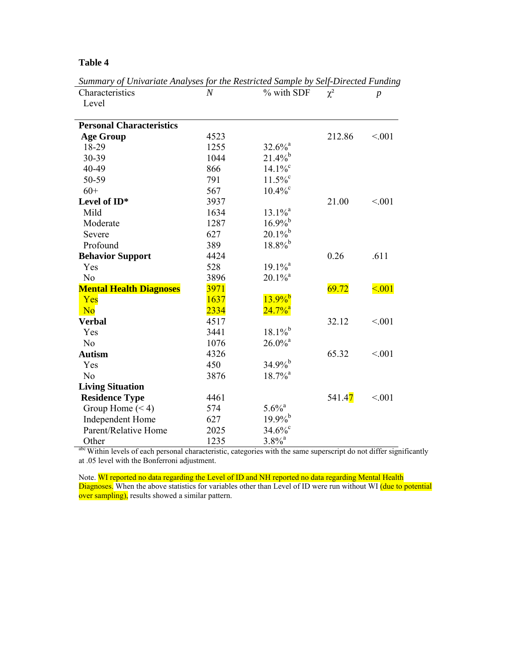| Characteristics                 | $\boldsymbol{N}$ | % with SDF            | $\chi^2$             | $\boldsymbol{p}$ |
|---------------------------------|------------------|-----------------------|----------------------|------------------|
| Level                           |                  |                       |                      |                  |
|                                 |                  |                       |                      |                  |
| <b>Personal Characteristics</b> |                  |                       |                      |                  |
| <b>Age Group</b>                | 4523             |                       | 212.86               | < 0.01           |
| 18-29                           | 1255             | $32.6\%$ <sup>a</sup> |                      |                  |
| 30-39                           | 1044             | $21.4\%$ <sup>b</sup> |                      |                  |
| 40-49                           | 866              | $14.1\%$ <sup>c</sup> |                      |                  |
| 50-59                           | 791              | $11.5\%$              |                      |                  |
| $60+$                           | 567              | $10.4\%$ <sup>c</sup> |                      |                  |
| Level of ID*                    | 3937             |                       | 21.00                | < 0.01           |
| Mild                            | 1634             | $13.1\%$ <sup>a</sup> |                      |                  |
| Moderate                        | 1287             | $16.9\%$ <sup>b</sup> |                      |                  |
| Severe                          | 627              | $20.1\%$              |                      |                  |
| Profound                        | 389              | $18.8\%$ <sup>b</sup> |                      |                  |
| <b>Behavior Support</b>         | 4424             |                       | 0.26                 | .611             |
| Yes                             | 528              | $19.1\%$ <sup>a</sup> |                      |                  |
| N <sub>o</sub>                  | 3896             | $20.1\%$ <sup>a</sup> |                      |                  |
| <b>Mental Health Diagnoses</b>  | 3971             |                       | 69.72                | $\leq 0.01$      |
| Yes                             | 1637             | $13.9\%$ <sup>b</sup> |                      |                  |
| N <sub>o</sub>                  | 2334             | $24.7\%$ <sup>a</sup> |                      |                  |
| <b>Verbal</b>                   | 4517             |                       | 32.12                | < 0.01           |
| Yes                             | 3441             | $18.1\%$              |                      |                  |
| N <sub>0</sub>                  | 1076             | $26.0\%$ <sup>a</sup> |                      |                  |
| <b>Autism</b>                   | 4326             |                       | 65.32                | < 0.01           |
| Yes                             | 450              | $34.9\%$ <sup>b</sup> |                      |                  |
| N <sub>0</sub>                  | 3876             | $18.7\%$ <sup>a</sup> |                      |                  |
| <b>Living Situation</b>         |                  |                       |                      |                  |
| <b>Residence Type</b>           | 4461             |                       | 541.4 <mark>7</mark> | < 0.01           |
| Group Home $(< 4)$              | 574              | $5.6\%$ <sup>a</sup>  |                      |                  |
| <b>Independent Home</b>         | 627              | $19.9\%$ <sup>b</sup> |                      |                  |
| Parent/Relative Home            | 2025             | $34.6\%$ °            |                      |                  |
| Other                           | 1235             | $3.8\%$ <sup>a</sup>  |                      |                  |

*Summary of Univariate Analyses for the Restricted Sample by Self-Directed Funding*

abc Within levels of each personal characteristic, categories with the same superscript do not differ significantly at .05 level with the Bonferroni adjustment.

Note. WI reported no data regarding the Level of ID and NH reported no data regarding Mental Health Diagnoses. When the above statistics for variables other than Level of ID were run without WI (due to potential over sampling), results showed a similar pattern.

# **Table 4**